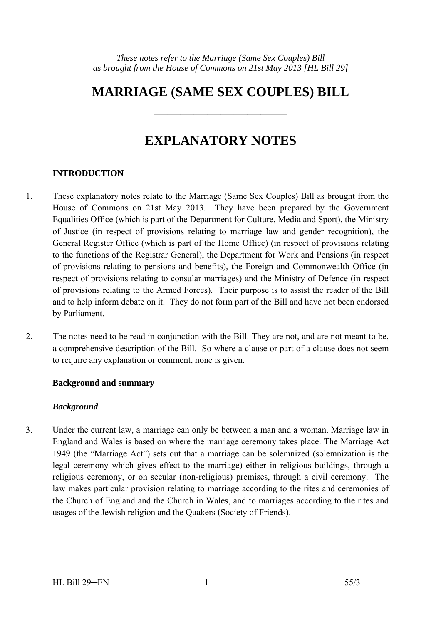# **MARRIAGE (SAME SEX COUPLES) BILL**

——————————

# **EXPLANATORY NOTES**

## **INTRODUCTION**

- 1. These explanatory notes relate to the Marriage (Same Sex Couples) Bill as brought from the House of Commons on 21st May 2013. They have been prepared by the Government Equalities Office (which is part of the Department for Culture, Media and Sport), the Ministry of Justice (in respect of provisions relating to marriage law and gender recognition), the General Register Office (which is part of the Home Office) (in respect of provisions relating to the functions of the Registrar General), the Department for Work and Pensions (in respect of provisions relating to pensions and benefits), the Foreign and Commonwealth Office (in respect of provisions relating to consular marriages) and the Ministry of Defence (in respect of provisions relating to the Armed Forces). Their purpose is to assist the reader of the Bill and to help inform debate on it. They do not form part of the Bill and have not been endorsed by Parliament.
- 2. The notes need to be read in conjunction with the Bill. They are not, and are not meant to be, a comprehensive description of the Bill. So where a clause or part of a clause does not seem to require any explanation or comment, none is given.

#### **Background and summary**

#### *Background*

3. Under the current law, a marriage can only be between a man and a woman. Marriage law in England and Wales is based on where the marriage ceremony takes place. The Marriage Act 1949 (the "Marriage Act") sets out that a marriage can be solemnized (solemnization is the legal ceremony which gives effect to the marriage) either in religious buildings, through a religious ceremony, or on secular (non-religious) premises, through a civil ceremony. The law makes particular provision relating to marriage according to the rites and ceremonies of the Church of England and the Church in Wales, and to marriages according to the rites and usages of the Jewish religion and the Quakers (Society of Friends).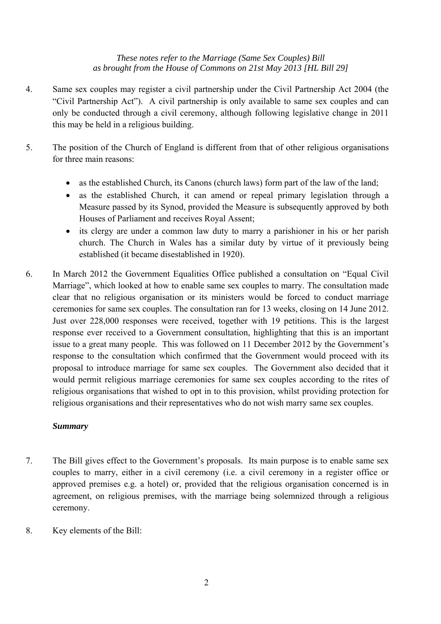- 4. Same sex couples may register a civil partnership under the Civil Partnership Act 2004 (the "Civil Partnership Act"). A civil partnership is only available to same sex couples and can only be conducted through a civil ceremony, although following legislative change in 2011 this may be held in a religious building.
- 5. The position of the Church of England is different from that of other religious organisations for three main reasons:
	- as the established Church, its Canons (church laws) form part of the law of the land;
	- as the established Church, it can amend or repeal primary legislation through a Measure passed by its Synod, provided the Measure is subsequently approved by both Houses of Parliament and receives Royal Assent;
	- its clergy are under a common law duty to marry a parishioner in his or her parish church. The Church in Wales has a similar duty by virtue of it previously being established (it became disestablished in 1920).
- 6. In March 2012 the Government Equalities Office published a consultation on "Equal Civil Marriage", which looked at how to enable same sex couples to marry. The consultation made clear that no religious organisation or its ministers would be forced to conduct marriage ceremonies for same sex couples. The consultation ran for 13 weeks, closing on 14 June 2012. Just over 228,000 responses were received, together with 19 petitions. This is the largest response ever received to a Government consultation, highlighting that this is an important issue to a great many people. This was followed on 11 December 2012 by the Government's response to the consultation which confirmed that the Government would proceed with its proposal to introduce marriage for same sex couples. The Government also decided that it would permit religious marriage ceremonies for same sex couples according to the rites of religious organisations that wished to opt in to this provision, whilst providing protection for religious organisations and their representatives who do not wish marry same sex couples.

#### *Summary*

- 7. The Bill gives effect to the Government's proposals. Its main purpose is to enable same sex couples to marry, either in a civil ceremony (i.e. a civil ceremony in a register office or approved premises e.g. a hotel) or, provided that the religious organisation concerned is in agreement, on religious premises, with the marriage being solemnized through a religious ceremony.
- 8. Key elements of the Bill: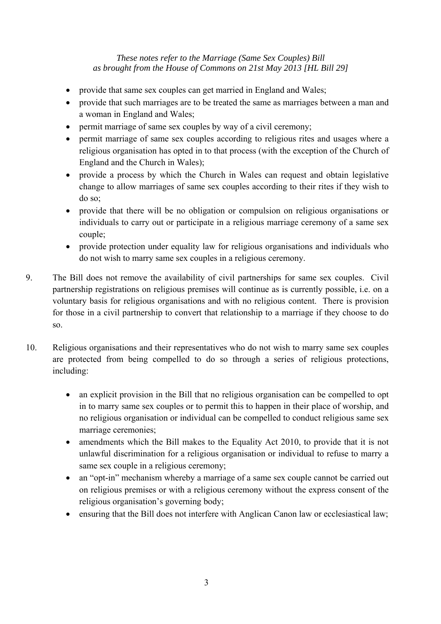- provide that same sex couples can get married in England and Wales;
- provide that such marriages are to be treated the same as marriages between a man and a woman in England and Wales;
- permit marriage of same sex couples by way of a civil ceremony;
- permit marriage of same sex couples according to religious rites and usages where a religious organisation has opted in to that process (with the exception of the Church of England and the Church in Wales);
- provide a process by which the Church in Wales can request and obtain legislative change to allow marriages of same sex couples according to their rites if they wish to do so;
- provide that there will be no obligation or compulsion on religious organisations or individuals to carry out or participate in a religious marriage ceremony of a same sex couple;
- provide protection under equality law for religious organisations and individuals who do not wish to marry same sex couples in a religious ceremony.
- 9. The Bill does not remove the availability of civil partnerships for same sex couples. Civil partnership registrations on religious premises will continue as is currently possible, i.e. on a voluntary basis for religious organisations and with no religious content. There is provision for those in a civil partnership to convert that relationship to a marriage if they choose to do so.
- 10. Religious organisations and their representatives who do not wish to marry same sex couples are protected from being compelled to do so through a series of religious protections, including:
	- an explicit provision in the Bill that no religious organisation can be compelled to opt in to marry same sex couples or to permit this to happen in their place of worship, and no religious organisation or individual can be compelled to conduct religious same sex marriage ceremonies;
	- amendments which the Bill makes to the Equality Act 2010, to provide that it is not unlawful discrimination for a religious organisation or individual to refuse to marry a same sex couple in a religious ceremony;
	- an "opt-in" mechanism whereby a marriage of a same sex couple cannot be carried out on religious premises or with a religious ceremony without the express consent of the religious organisation's governing body;
	- ensuring that the Bill does not interfere with Anglican Canon law or ecclesiastical law;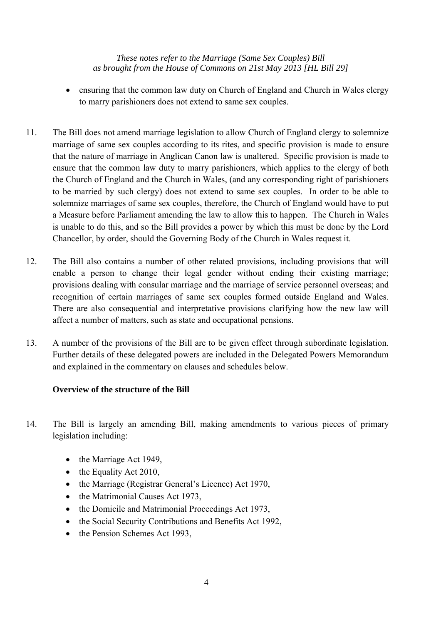- ensuring that the common law duty on Church of England and Church in Wales clergy to marry parishioners does not extend to same sex couples.
- 11. The Bill does not amend marriage legislation to allow Church of England clergy to solemnize marriage of same sex couples according to its rites, and specific provision is made to ensure that the nature of marriage in Anglican Canon law is unaltered. Specific provision is made to ensure that the common law duty to marry parishioners, which applies to the clergy of both the Church of England and the Church in Wales, (and any corresponding right of parishioners to be married by such clergy) does not extend to same sex couples. In order to be able to solemnize marriages of same sex couples, therefore, the Church of England would have to put a Measure before Parliament amending the law to allow this to happen. The Church in Wales is unable to do this, and so the Bill provides a power by which this must be done by the Lord Chancellor, by order, should the Governing Body of the Church in Wales request it.
- 12. The Bill also contains a number of other related provisions, including provisions that will enable a person to change their legal gender without ending their existing marriage; provisions dealing with consular marriage and the marriage of service personnel overseas; and recognition of certain marriages of same sex couples formed outside England and Wales. There are also consequential and interpretative provisions clarifying how the new law will affect a number of matters, such as state and occupational pensions.
- 13. A number of the provisions of the Bill are to be given effect through subordinate legislation. Further details of these delegated powers are included in the Delegated Powers Memorandum and explained in the commentary on clauses and schedules below.

## **Overview of the structure of the Bill**

- 14. The Bill is largely an amending Bill, making amendments to various pieces of primary legislation including:
	- the Marriage Act 1949,
	- the Equality Act 2010,
	- the Marriage (Registrar General's Licence) Act 1970,
	- the Matrimonial Causes Act 1973,
	- the Domicile and Matrimonial Proceedings Act 1973,
	- the Social Security Contributions and Benefits Act 1992,
	- the Pension Schemes Act 1993,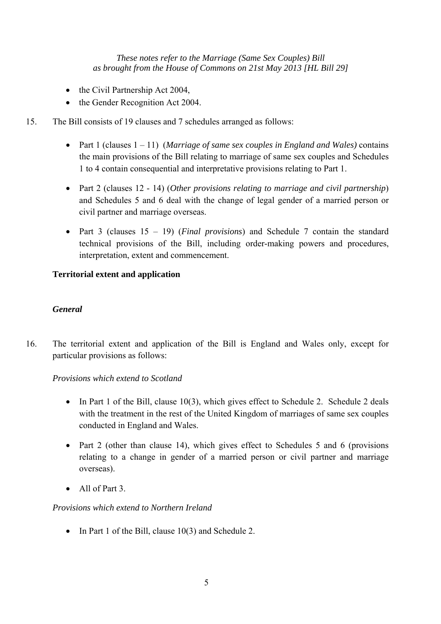- the Civil Partnership Act 2004,
- the Gender Recognition Act 2004.
- 15. The Bill consists of 19 clauses and 7 schedules arranged as follows:
	- Part 1 (clauses 1 11) (*Marriage of same sex couples in England and Wales)* contains the main provisions of the Bill relating to marriage of same sex couples and Schedules 1 to 4 contain consequential and interpretative provisions relating to Part 1.
	- Part 2 (clauses 12 14) (*Other provisions relating to marriage and civil partnership*) and Schedules 5 and 6 deal with the change of legal gender of a married person or civil partner and marriage overseas.
	- Part 3 (clauses 15 19) (*Final provisions*) and Schedule 7 contain the standard technical provisions of the Bill, including order-making powers and procedures, interpretation, extent and commencement.

## **Territorial extent and application**

#### *General*

16. The territorial extent and application of the Bill is England and Wales only, except for particular provisions as follows:

*Provisions which extend to Scotland* 

- In Part 1 of the Bill, clause 10(3), which gives effect to Schedule 2. Schedule 2 deals with the treatment in the rest of the United Kingdom of marriages of same sex couples conducted in England and Wales.
- Part 2 (other than clause 14), which gives effect to Schedules 5 and 6 (provisions relating to a change in gender of a married person or civil partner and marriage overseas).
- All of Part 3.

## *Provisions which extend to Northern Ireland*

• In Part 1 of the Bill, clause 10(3) and Schedule 2.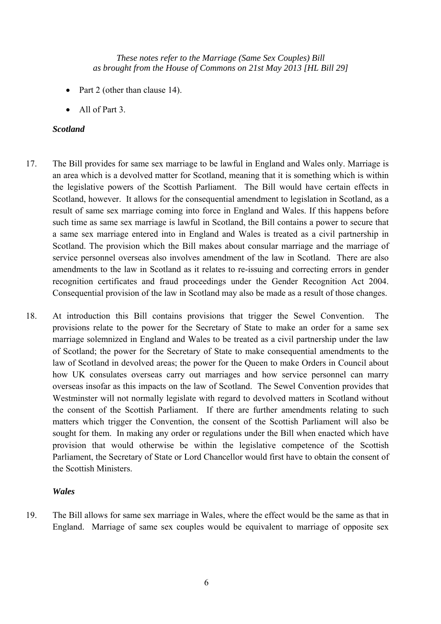- Part 2 (other than clause 14).
- All of Part 3.

#### *Scotland*

- 17. The Bill provides for same sex marriage to be lawful in England and Wales only. Marriage is an area which is a devolved matter for Scotland, meaning that it is something which is within the legislative powers of the Scottish Parliament. The Bill would have certain effects in Scotland, however. It allows for the consequential amendment to legislation in Scotland, as a result of same sex marriage coming into force in England and Wales. If this happens before such time as same sex marriage is lawful in Scotland, the Bill contains a power to secure that a same sex marriage entered into in England and Wales is treated as a civil partnership in Scotland. The provision which the Bill makes about consular marriage and the marriage of service personnel overseas also involves amendment of the law in Scotland. There are also amendments to the law in Scotland as it relates to re-issuing and correcting errors in gender recognition certificates and fraud proceedings under the Gender Recognition Act 2004. Consequential provision of the law in Scotland may also be made as a result of those changes.
- 18. At introduction this Bill contains provisions that trigger the Sewel Convention. The provisions relate to the power for the Secretary of State to make an order for a same sex marriage solemnized in England and Wales to be treated as a civil partnership under the law of Scotland; the power for the Secretary of State to make consequential amendments to the law of Scotland in devolved areas; the power for the Queen to make Orders in Council about how UK consulates overseas carry out marriages and how service personnel can marry overseas insofar as this impacts on the law of Scotland. The Sewel Convention provides that Westminster will not normally legislate with regard to devolved matters in Scotland without the consent of the Scottish Parliament. If there are further amendments relating to such matters which trigger the Convention, the consent of the Scottish Parliament will also be sought for them. In making any order or regulations under the Bill when enacted which have provision that would otherwise be within the legislative competence of the Scottish Parliament, the Secretary of State or Lord Chancellor would first have to obtain the consent of the Scottish Ministers.

#### *Wales*

19. The Bill allows for same sex marriage in Wales, where the effect would be the same as that in England. Marriage of same sex couples would be equivalent to marriage of opposite sex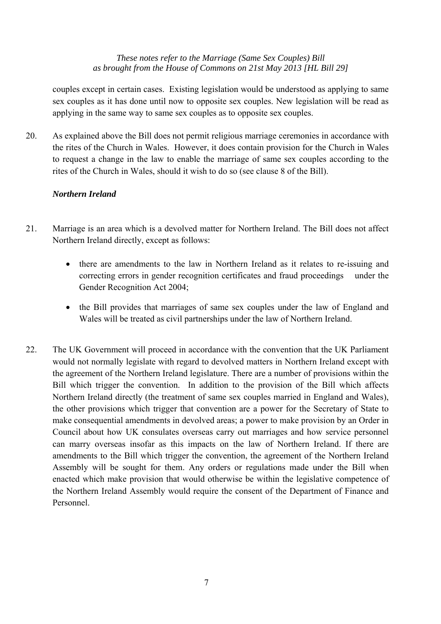couples except in certain cases. Existing legislation would be understood as applying to same sex couples as it has done until now to opposite sex couples. New legislation will be read as applying in the same way to same sex couples as to opposite sex couples.

20. As explained above the Bill does not permit religious marriage ceremonies in accordance with the rites of the Church in Wales. However, it does contain provision for the Church in Wales to request a change in the law to enable the marriage of same sex couples according to the rites of the Church in Wales, should it wish to do so (see clause 8 of the Bill).

#### *Northern Ireland*

- 21. Marriage is an area which is a devolved matter for Northern Ireland. The Bill does not affect Northern Ireland directly, except as follows:
	- there are amendments to the law in Northern Ireland as it relates to re-issuing and correcting errors in gender recognition certificates and fraud proceedings under the Gender Recognition Act 2004;
	- the Bill provides that marriages of same sex couples under the law of England and Wales will be treated as civil partnerships under the law of Northern Ireland.
- 22. The UK Government will proceed in accordance with the convention that the UK Parliament would not normally legislate with regard to devolved matters in Northern Ireland except with the agreement of the Northern Ireland legislature. There are a number of provisions within the Bill which trigger the convention. In addition to the provision of the Bill which affects Northern Ireland directly (the treatment of same sex couples married in England and Wales), the other provisions which trigger that convention are a power for the Secretary of State to make consequential amendments in devolved areas; a power to make provision by an Order in Council about how UK consulates overseas carry out marriages and how service personnel can marry overseas insofar as this impacts on the law of Northern Ireland. If there are amendments to the Bill which trigger the convention, the agreement of the Northern Ireland Assembly will be sought for them. Any orders or regulations made under the Bill when enacted which make provision that would otherwise be within the legislative competence of the Northern Ireland Assembly would require the consent of the Department of Finance and Personnel.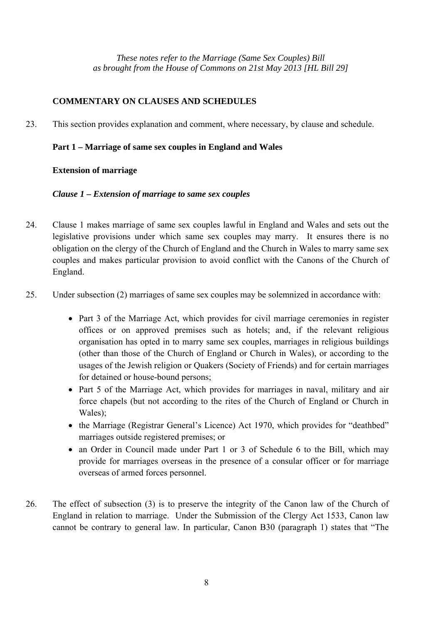## **COMMENTARY ON CLAUSES AND SCHEDULES**

23. This section provides explanation and comment, where necessary, by clause and schedule.

## **Part 1 – Marriage of same sex couples in England and Wales**

#### **Extension of marriage**

#### *Clause 1 – Extension of marriage to same sex couples*

- 24. Clause 1 makes marriage of same sex couples lawful in England and Wales and sets out the legislative provisions under which same sex couples may marry. It ensures there is no obligation on the clergy of the Church of England and the Church in Wales to marry same sex couples and makes particular provision to avoid conflict with the Canons of the Church of England.
- 25. Under subsection (2) marriages of same sex couples may be solemnized in accordance with:
	- Part 3 of the Marriage Act, which provides for civil marriage ceremonies in register offices or on approved premises such as hotels; and, if the relevant religious organisation has opted in to marry same sex couples, marriages in religious buildings (other than those of the Church of England or Church in Wales), or according to the usages of the Jewish religion or Quakers (Society of Friends) and for certain marriages for detained or house-bound persons;
	- Part 5 of the Marriage Act, which provides for marriages in naval, military and air force chapels (but not according to the rites of the Church of England or Church in Wales)<sup>-</sup>
	- the Marriage (Registrar General's Licence) Act 1970, which provides for "deathbed" marriages outside registered premises; or
	- an Order in Council made under Part 1 or 3 of Schedule 6 to the Bill, which may provide for marriages overseas in the presence of a consular officer or for marriage overseas of armed forces personnel.
- 26. The effect of subsection (3) is to preserve the integrity of the Canon law of the Church of England in relation to marriage. Under the Submission of the Clergy Act 1533, Canon law cannot be contrary to general law. In particular, Canon B30 (paragraph 1) states that "The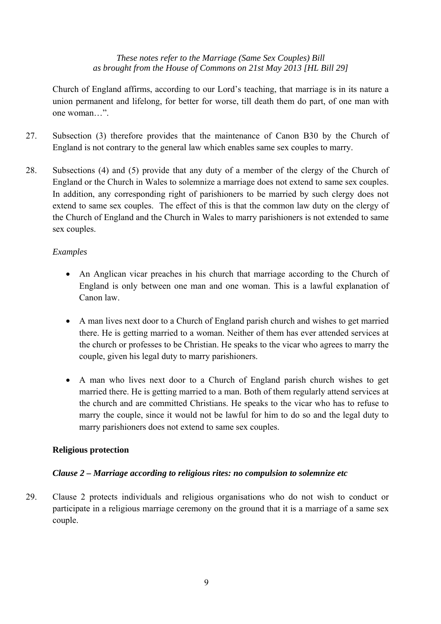Church of England affirms, according to our Lord's teaching, that marriage is in its nature a union permanent and lifelong, for better for worse, till death them do part, of one man with one woman…".

- 27. Subsection (3) therefore provides that the maintenance of Canon B30 by the Church of England is not contrary to the general law which enables same sex couples to marry.
- 28. Subsections (4) and (5) provide that any duty of a member of the clergy of the Church of England or the Church in Wales to solemnize a marriage does not extend to same sex couples. In addition, any corresponding right of parishioners to be married by such clergy does not extend to same sex couples. The effect of this is that the common law duty on the clergy of the Church of England and the Church in Wales to marry parishioners is not extended to same sex couples.

## *Examples*

- An Anglican vicar preaches in his church that marriage according to the Church of England is only between one man and one woman. This is a lawful explanation of Canon law.
- A man lives next door to a Church of England parish church and wishes to get married there. He is getting married to a woman. Neither of them has ever attended services at the church or professes to be Christian. He speaks to the vicar who agrees to marry the couple, given his legal duty to marry parishioners.
- A man who lives next door to a Church of England parish church wishes to get married there. He is getting married to a man. Both of them regularly attend services at the church and are committed Christians. He speaks to the vicar who has to refuse to marry the couple, since it would not be lawful for him to do so and the legal duty to marry parishioners does not extend to same sex couples.

#### **Religious protection**

## *Clause 2 – Marriage according to religious rites: no compulsion to solemnize etc*

29. Clause 2 protects individuals and religious organisations who do not wish to conduct or participate in a religious marriage ceremony on the ground that it is a marriage of a same sex couple.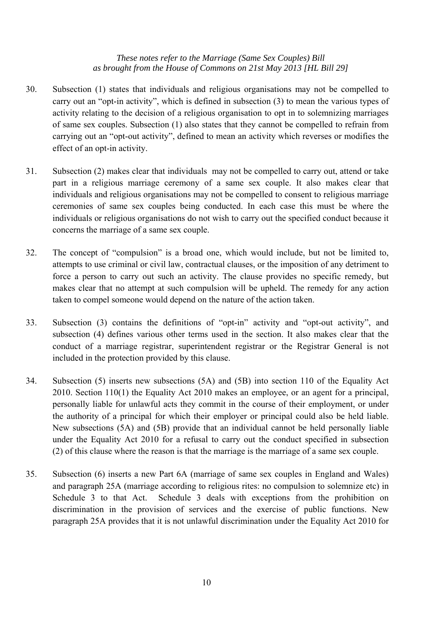- 30. Subsection (1) states that individuals and religious organisations may not be compelled to carry out an "opt-in activity", which is defined in subsection (3) to mean the various types of activity relating to the decision of a religious organisation to opt in to solemnizing marriages of same sex couples. Subsection (1) also states that they cannot be compelled to refrain from carrying out an "opt-out activity", defined to mean an activity which reverses or modifies the effect of an opt-in activity.
- 31. Subsection (2) makes clear that individuals may not be compelled to carry out, attend or take part in a religious marriage ceremony of a same sex couple. It also makes clear that individuals and religious organisations may not be compelled to consent to religious marriage ceremonies of same sex couples being conducted. In each case this must be where the individuals or religious organisations do not wish to carry out the specified conduct because it concerns the marriage of a same sex couple.
- 32. The concept of "compulsion" is a broad one, which would include, but not be limited to, attempts to use criminal or civil law, contractual clauses, or the imposition of any detriment to force a person to carry out such an activity. The clause provides no specific remedy, but makes clear that no attempt at such compulsion will be upheld. The remedy for any action taken to compel someone would depend on the nature of the action taken.
- 33. Subsection (3) contains the definitions of "opt-in" activity and "opt-out activity", and subsection (4) defines various other terms used in the section. It also makes clear that the conduct of a marriage registrar, superintendent registrar or the Registrar General is not included in the protection provided by this clause.
- 34. Subsection (5) inserts new subsections (5A) and (5B) into section 110 of the Equality Act 2010. Section 110(1) the Equality Act 2010 makes an employee, or an agent for a principal, personally liable for unlawful acts they commit in the course of their employment, or under the authority of a principal for which their employer or principal could also be held liable. New subsections (5A) and (5B) provide that an individual cannot be held personally liable under the Equality Act 2010 for a refusal to carry out the conduct specified in subsection (2) of this clause where the reason is that the marriage is the marriage of a same sex couple.
- 35. Subsection (6) inserts a new Part 6A (marriage of same sex couples in England and Wales) and paragraph 25A (marriage according to religious rites: no compulsion to solemnize etc) in Schedule 3 to that Act. Schedule 3 deals with exceptions from the prohibition on discrimination in the provision of services and the exercise of public functions. New paragraph 25A provides that it is not unlawful discrimination under the Equality Act 2010 for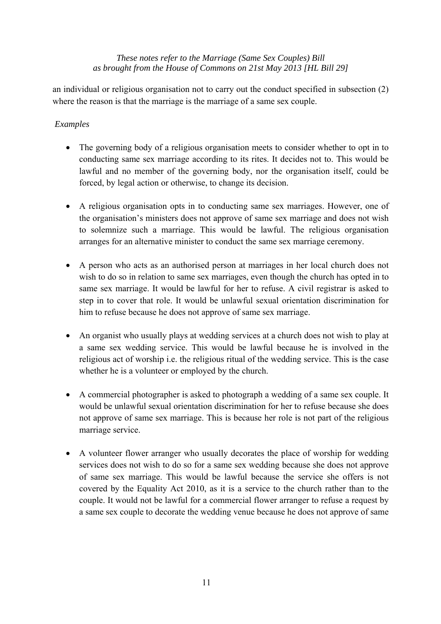an individual or religious organisation not to carry out the conduct specified in subsection (2) where the reason is that the marriage is the marriage of a same sex couple.

## *Examples*

- The governing body of a religious organisation meets to consider whether to opt in to conducting same sex marriage according to its rites. It decides not to. This would be lawful and no member of the governing body, nor the organisation itself, could be forced, by legal action or otherwise, to change its decision.
- A religious organisation opts in to conducting same sex marriages. However, one of the organisation's ministers does not approve of same sex marriage and does not wish to solemnize such a marriage. This would be lawful. The religious organisation arranges for an alternative minister to conduct the same sex marriage ceremony.
- A person who acts as an authorised person at marriages in her local church does not wish to do so in relation to same sex marriages, even though the church has opted in to same sex marriage. It would be lawful for her to refuse. A civil registrar is asked to step in to cover that role. It would be unlawful sexual orientation discrimination for him to refuse because he does not approve of same sex marriage.
- An organist who usually plays at wedding services at a church does not wish to play at a same sex wedding service. This would be lawful because he is involved in the religious act of worship i.e. the religious ritual of the wedding service. This is the case whether he is a volunteer or employed by the church.
- A commercial photographer is asked to photograph a wedding of a same sex couple. It would be unlawful sexual orientation discrimination for her to refuse because she does not approve of same sex marriage. This is because her role is not part of the religious marriage service.
- A volunteer flower arranger who usually decorates the place of worship for wedding services does not wish to do so for a same sex wedding because she does not approve of same sex marriage. This would be lawful because the service she offers is not covered by the Equality Act 2010, as it is a service to the church rather than to the couple. It would not be lawful for a commercial flower arranger to refuse a request by a same sex couple to decorate the wedding venue because he does not approve of same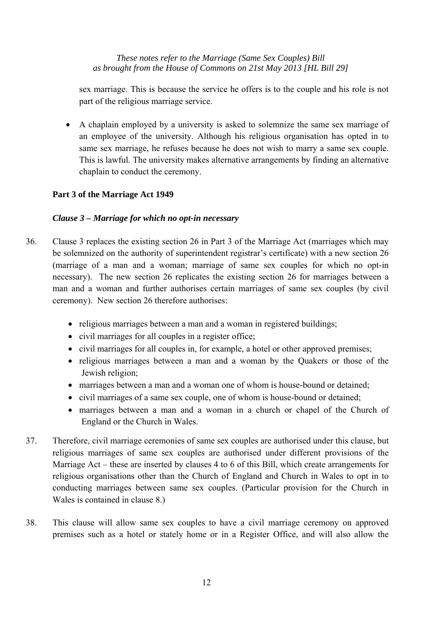sex marriage. This is because the service he offers is to the couple and his role is not part of the religious marriage service.

• A chaplain employed by a university is asked to solemnize the same sex marriage of an employee of the university. Although his religious organisation has opted in to same sex marriage, he refuses because he does not wish to marry a same sex couple. This is lawful. The university makes alternative arrangements by finding an alternative chaplain to conduct the ceremony.

## **Part 3 of the Marriage Act 1949**

## *Clause 3 – Marriage for which no opt-in necessary*

- 36. Clause 3 replaces the existing section 26 in Part 3 of the Marriage Act (marriages which may be solemnized on the authority of superintendent registrar's certificate) with a new section 26 (marriage of a man and a woman; marriage of same sex couples for which no opt-in necessary). The new section 26 replicates the existing section 26 for marriages between a man and a woman and further authorises certain marriages of same sex couples (by civil ceremony). New section 26 therefore authorises:
	- religious marriages between a man and a woman in registered buildings;
	- civil marriages for all couples in a register office;
	- civil marriages for all couples in, for example, a hotel or other approved premises;
	- religious marriages between a man and a woman by the Quakers or those of the Jewish religion;
	- marriages between a man and a woman one of whom is house-bound or detained;
	- civil marriages of a same sex couple, one of whom is house-bound or detained;
	- marriages between a man and a woman in a church or chapel of the Church of England or the Church in Wales.
- 37. Therefore, civil marriage ceremonies of same sex couples are authorised under this clause, but religious marriages of same sex couples are authorised under different provisions of the Marriage Act – these are inserted by clauses 4 to 6 of this Bill, which create arrangements for religious organisations other than the Church of England and Church in Wales to opt in to conducting marriages between same sex couples. (Particular provision for the Church in Wales is contained in clause 8.)
- 38. This clause will allow same sex couples to have a civil marriage ceremony on approved premises such as a hotel or stately home or in a Register Office, and will also allow the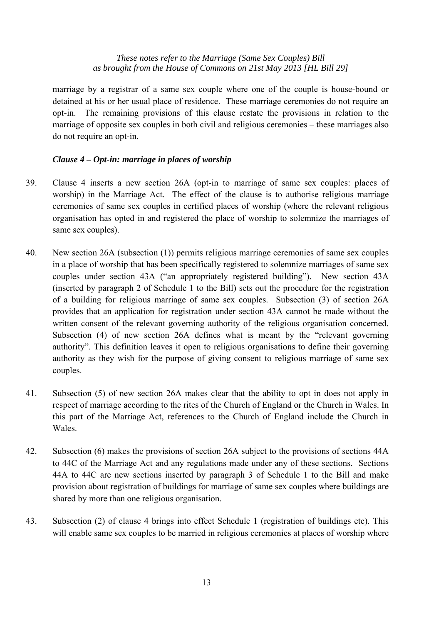marriage by a registrar of a same sex couple where one of the couple is house-bound or detained at his or her usual place of residence. These marriage ceremonies do not require an opt-in. The remaining provisions of this clause restate the provisions in relation to the marriage of opposite sex couples in both civil and religious ceremonies – these marriages also do not require an opt-in.

## *Clause 4 – Opt-in: marriage in places of worship*

- 39. Clause 4 inserts a new section 26A (opt-in to marriage of same sex couples: places of worship) in the Marriage Act. The effect of the clause is to authorise religious marriage ceremonies of same sex couples in certified places of worship (where the relevant religious organisation has opted in and registered the place of worship to solemnize the marriages of same sex couples).
- 40. New section 26A (subsection (1)) permits religious marriage ceremonies of same sex couples in a place of worship that has been specifically registered to solemnize marriages of same sex couples under section 43A ("an appropriately registered building"). New section 43A (inserted by paragraph 2 of Schedule 1 to the Bill) sets out the procedure for the registration of a building for religious marriage of same sex couples. Subsection (3) of section 26A provides that an application for registration under section 43A cannot be made without the written consent of the relevant governing authority of the religious organisation concerned. Subsection (4) of new section 26A defines what is meant by the "relevant governing authority". This definition leaves it open to religious organisations to define their governing authority as they wish for the purpose of giving consent to religious marriage of same sex couples.
- 41. Subsection (5) of new section 26A makes clear that the ability to opt in does not apply in respect of marriage according to the rites of the Church of England or the Church in Wales. In this part of the Marriage Act, references to the Church of England include the Church in Wales.
- 42. Subsection (6) makes the provisions of section 26A subject to the provisions of sections 44A to 44C of the Marriage Act and any regulations made under any of these sections. Sections 44A to 44C are new sections inserted by paragraph 3 of Schedule 1 to the Bill and make provision about registration of buildings for marriage of same sex couples where buildings are shared by more than one religious organisation.
- 43. Subsection (2) of clause 4 brings into effect Schedule 1 (registration of buildings etc). This will enable same sex couples to be married in religious ceremonies at places of worship where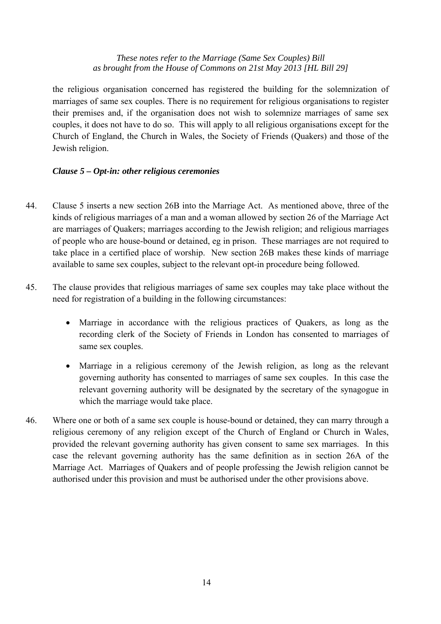the religious organisation concerned has registered the building for the solemnization of marriages of same sex couples. There is no requirement for religious organisations to register their premises and, if the organisation does not wish to solemnize marriages of same sex couples, it does not have to do so. This will apply to all religious organisations except for the Church of England, the Church in Wales, the Society of Friends (Quakers) and those of the Jewish religion.

## *Clause 5 – Opt-in: other religious ceremonies*

- 44. Clause 5 inserts a new section 26B into the Marriage Act. As mentioned above, three of the kinds of religious marriages of a man and a woman allowed by section 26 of the Marriage Act are marriages of Quakers; marriages according to the Jewish religion; and religious marriages of people who are house-bound or detained, eg in prison. These marriages are not required to take place in a certified place of worship. New section 26B makes these kinds of marriage available to same sex couples, subject to the relevant opt-in procedure being followed.
- 45. The clause provides that religious marriages of same sex couples may take place without the need for registration of a building in the following circumstances:
	- Marriage in accordance with the religious practices of Quakers, as long as the recording clerk of the Society of Friends in London has consented to marriages of same sex couples.
	- Marriage in a religious ceremony of the Jewish religion, as long as the relevant governing authority has consented to marriages of same sex couples. In this case the relevant governing authority will be designated by the secretary of the synagogue in which the marriage would take place.
- 46. Where one or both of a same sex couple is house-bound or detained, they can marry through a religious ceremony of any religion except of the Church of England or Church in Wales, provided the relevant governing authority has given consent to same sex marriages. In this case the relevant governing authority has the same definition as in section 26A of the Marriage Act. Marriages of Quakers and of people professing the Jewish religion cannot be authorised under this provision and must be authorised under the other provisions above.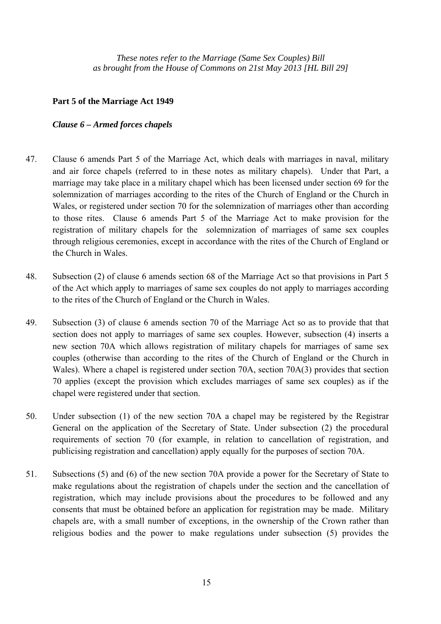#### **Part 5 of the Marriage Act 1949**

#### *Clause 6 – Armed forces chapels*

- 47. Clause 6 amends Part 5 of the Marriage Act, which deals with marriages in naval, military and air force chapels (referred to in these notes as military chapels). Under that Part, a marriage may take place in a military chapel which has been licensed under section 69 for the solemnization of marriages according to the rites of the Church of England or the Church in Wales, or registered under section 70 for the solemnization of marriages other than according to those rites. Clause 6 amends Part 5 of the Marriage Act to make provision for the registration of military chapels for the *s*olemnization of marriages of same sex couples through religious ceremonies, except in accordance with the rites of the Church of England or the Church in Wales.
- 48. Subsection (2) of clause 6 amends section 68 of the Marriage Act so that provisions in Part 5 of the Act which apply to marriages of same sex couples do not apply to marriages according to the rites of the Church of England or the Church in Wales.
- 49. Subsection (3) of clause 6 amends section 70 of the Marriage Act so as to provide that that section does not apply to marriages of same sex couples. However, subsection (4) inserts a new section 70A which allows registration of military chapels for marriages of same sex couples (otherwise than according to the rites of the Church of England or the Church in Wales). Where a chapel is registered under section 70A, section 70A(3) provides that section 70 applies (except the provision which excludes marriages of same sex couples) as if the chapel were registered under that section.
- 50. Under subsection (1) of the new section 70A a chapel may be registered by the Registrar General on the application of the Secretary of State. Under subsection (2) the procedural requirements of section 70 (for example, in relation to cancellation of registration, and publicising registration and cancellation) apply equally for the purposes of section 70A.
- 51. Subsections (5) and (6) of the new section 70A provide a power for the Secretary of State to make regulations about the registration of chapels under the section and the cancellation of registration, which may include provisions about the procedures to be followed and any consents that must be obtained before an application for registration may be made. Military chapels are, with a small number of exceptions, in the ownership of the Crown rather than religious bodies and the power to make regulations under subsection (5) provides the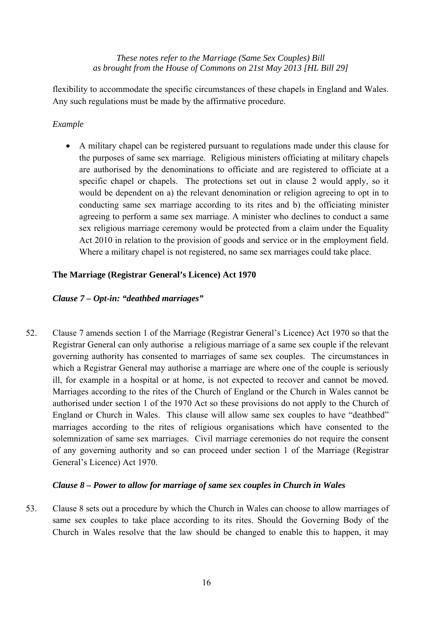flexibility to accommodate the specific circumstances of these chapels in England and Wales. Any such regulations must be made by the affirmative procedure.

## *Example*

• A military chapel can be registered pursuant to regulations made under this clause for the purposes of same sex marriage. Religious ministers officiating at military chapels are authorised by the denominations to officiate and are registered to officiate at a specific chapel or chapels. The protections set out in clause 2 would apply, so it would be dependent on a) the relevant denomination or religion agreeing to opt in to conducting same sex marriage according to its rites and b) the officiating minister agreeing to perform a same sex marriage. A minister who declines to conduct a same sex religious marriage ceremony would be protected from a claim under the Equality Act 2010 in relation to the provision of goods and service or in the employment field. Where a military chapel is not registered, no same sex marriages could take place.

## **The Marriage (Registrar General's Licence) Act 1970**

## *Clause 7 – Opt-in: "deathbed marriages"*

52. Clause 7 amends section 1 of the Marriage (Registrar General's Licence) Act 1970 so that the Registrar General can only authorise a religious marriage of a same sex couple if the relevant governing authority has consented to marriages of same sex couples. The circumstances in which a Registrar General may authorise a marriage are where one of the couple is seriously ill, for example in a hospital or at home, is not expected to recover and cannot be moved. Marriages according to the rites of the Church of England or the Church in Wales cannot be authorised under section 1 of the 1970 Act so these provisions do not apply to the Church of England or Church in Wales.This clause will allow same sex couples to have "deathbed" marriages according to the rites of religious organisations which have consented to the solemnization of same sex marriages. Civil marriage ceremonies do not require the consent of any governing authority and so can proceed under section 1 of the Marriage (Registrar General's Licence) Act 1970.

#### *Clause 8 – Power to allow for marriage of same sex couples in Church in Wales*

53. Clause 8 sets out a procedure by which the Church in Wales can choose to allow marriages of same sex couples to take place according to its rites. Should the Governing Body of the Church in Wales resolve that the law should be changed to enable this to happen, it may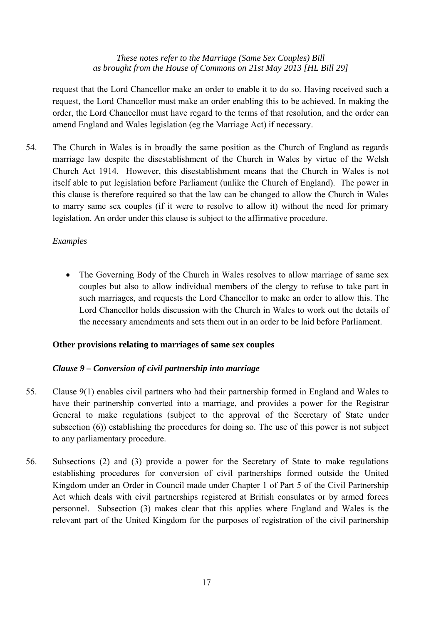request that the Lord Chancellor make an order to enable it to do so. Having received such a request, the Lord Chancellor must make an order enabling this to be achieved. In making the order, the Lord Chancellor must have regard to the terms of that resolution, and the order can amend England and Wales legislation (eg the Marriage Act) if necessary.

54. The Church in Wales is in broadly the same position as the Church of England as regards marriage law despite the disestablishment of the Church in Wales by virtue of the Welsh Church Act 1914. However, this disestablishment means that the Church in Wales is not itself able to put legislation before Parliament (unlike the Church of England). The power in this clause is therefore required so that the law can be changed to allow the Church in Wales to marry same sex couples (if it were to resolve to allow it) without the need for primary legislation. An order under this clause is subject to the affirmative procedure.

## *Examples*

• The Governing Body of the Church in Wales resolves to allow marriage of same sex couples but also to allow individual members of the clergy to refuse to take part in such marriages, and requests the Lord Chancellor to make an order to allow this. The Lord Chancellor holds discussion with the Church in Wales to work out the details of the necessary amendments and sets them out in an order to be laid before Parliament.

#### **Other provisions relating to marriages of same sex couples**

## *Clause 9 – Conversion of civil partnership into marriage*

- 55. Clause 9(1) enables civil partners who had their partnership formed in England and Wales to have their partnership converted into a marriage, and provides a power for the Registrar General to make regulations (subject to the approval of the Secretary of State under subsection (6)) establishing the procedures for doing so. The use of this power is not subject to any parliamentary procedure.
- 56. Subsections (2) and (3) provide a power for the Secretary of State to make regulations establishing procedures for conversion of civil partnerships formed outside the United Kingdom under an Order in Council made under Chapter 1 of Part 5 of the Civil Partnership Act which deals with civil partnerships registered at British consulates or by armed forces personnel. Subsection (3) makes clear that this applies where England and Wales is the relevant part of the United Kingdom for the purposes of registration of the civil partnership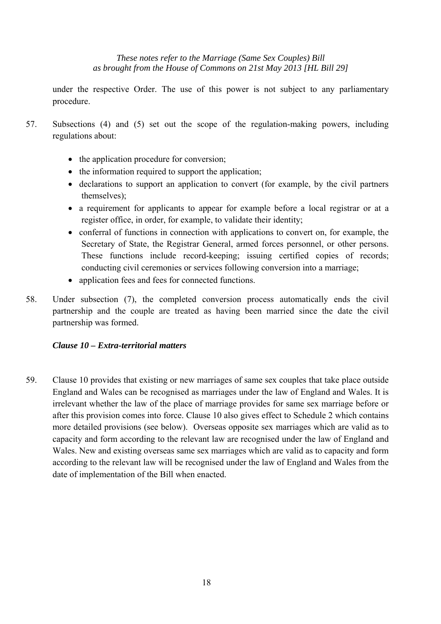under the respective Order. The use of this power is not subject to any parliamentary procedure.

- 57. Subsections (4) and (5) set out the scope of the regulation-making powers, including regulations about:
	- the application procedure for conversion;
	- the information required to support the application;
	- declarations to support an application to convert (for example, by the civil partners themselves);
	- a requirement for applicants to appear for example before a local registrar or at a register office, in order, for example, to validate their identity;
	- conferral of functions in connection with applications to convert on, for example, the Secretary of State, the Registrar General, armed forces personnel, or other persons. These functions include record-keeping; issuing certified copies of records; conducting civil ceremonies or services following conversion into a marriage;
	- application fees and fees for connected functions.
- 58. Under subsection (7), the completed conversion process automatically ends the civil partnership and the couple are treated as having been married since the date the civil partnership was formed.

## *Clause 10 – Extra-territorial matters*

59. Clause 10 provides that existing or new marriages of same sex couples that take place outside England and Wales can be recognised as marriages under the law of England and Wales. It is irrelevant whether the law of the place of marriage provides for same sex marriage before or after this provision comes into force. Clause 10 also gives effect to Schedule 2 which contains more detailed provisions (see below). Overseas opposite sex marriages which are valid as to capacity and form according to the relevant law are recognised under the law of England and Wales. New and existing overseas same sex marriages which are valid as to capacity and form according to the relevant law will be recognised under the law of England and Wales from the date of implementation of the Bill when enacted.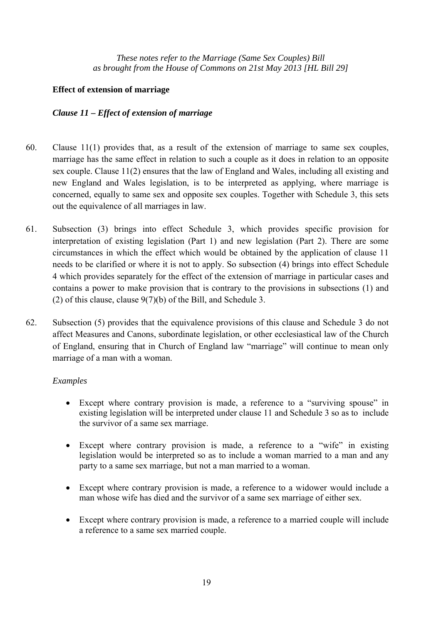#### **Effect of extension of marriage**

#### *Clause 11 – Effect of extension of marriage*

- 60. Clause 11(1) provides that, as a result of the extension of marriage to same sex couples, marriage has the same effect in relation to such a couple as it does in relation to an opposite sex couple. Clause 11(2) ensures that the law of England and Wales, including all existing and new England and Wales legislation, is to be interpreted as applying, where marriage is concerned, equally to same sex and opposite sex couples. Together with Schedule 3, this sets out the equivalence of all marriages in law.
- 61. Subsection (3) brings into effect Schedule 3, which provides specific provision for interpretation of existing legislation (Part 1) and new legislation (Part 2). There are some circumstances in which the effect which would be obtained by the application of clause 11 needs to be clarified or where it is not to apply. So subsection (4) brings into effect Schedule 4 which provides separately for the effect of the extension of marriage in particular cases and contains a power to make provision that is contrary to the provisions in subsections (1) and (2) of this clause, clause  $9(7)(b)$  of the Bill, and Schedule 3.
- 62. Subsection (5) provides that the equivalence provisions of this clause and Schedule 3 do not affect Measures and Canons, subordinate legislation, or other ecclesiastical law of the Church of England, ensuring that in Church of England law "marriage" will continue to mean only marriage of a man with a woman.

#### *Examples*

- Except where contrary provision is made, a reference to a "surviving spouse" in existing legislation will be interpreted under clause 11 and Schedule 3 so as to include the survivor of a same sex marriage.
- Except where contrary provision is made, a reference to a "wife" in existing legislation would be interpreted so as to include a woman married to a man and any party to a same sex marriage, but not a man married to a woman.
- Except where contrary provision is made, a reference to a widower would include a man whose wife has died and the survivor of a same sex marriage of either sex.
- Except where contrary provision is made, a reference to a married couple will include a reference to a same sex married couple.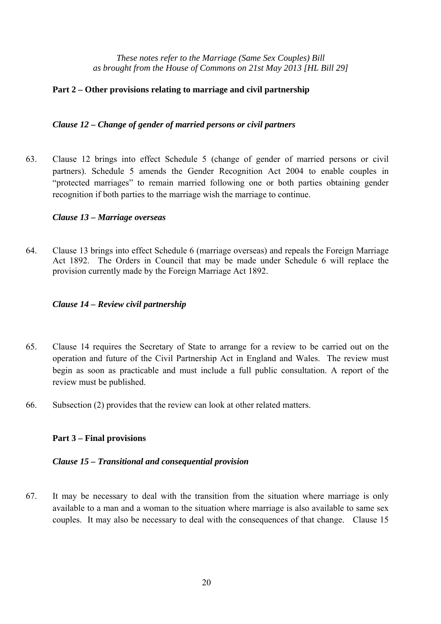#### **Part 2 – Other provisions relating to marriage and civil partnership**

#### *Clause 12 – Change of gender of married persons or civil partners*

63. Clause 12 brings into effect Schedule 5 (change of gender of married persons or civil partners). Schedule 5 amends the Gender Recognition Act 2004 to enable couples in "protected marriages" to remain married following one or both parties obtaining gender recognition if both parties to the marriage wish the marriage to continue.

#### *Clause 13 – Marriage overseas*

64. Clause 13 brings into effect Schedule 6 (marriage overseas) and repeals the Foreign Marriage Act 1892. The Orders in Council that may be made under Schedule 6 will replace the provision currently made by the Foreign Marriage Act 1892.

#### *Clause 14 – Review civil partnership*

- 65. Clause 14 requires the Secretary of State to arrange for a review to be carried out on the operation and future of the Civil Partnership Act in England and Wales. The review must begin as soon as practicable and must include a full public consultation. A report of the review must be published.
- 66. Subsection (2) provides that the review can look at other related matters.

#### **Part 3 – Final provisions**

#### *Clause 15 – Transitional and consequential provision*

67. It may be necessary to deal with the transition from the situation where marriage is only available to a man and a woman to the situation where marriage is also available to same sex couples. It may also be necessary to deal with the consequences of that change. Clause 15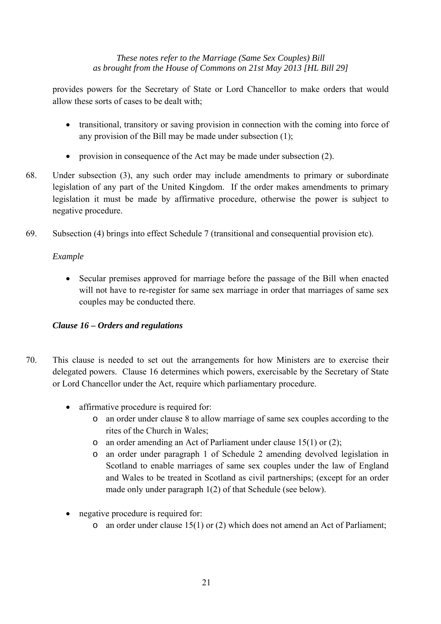provides powers for the Secretary of State or Lord Chancellor to make orders that would allow these sorts of cases to be dealt with;

- transitional, transitory or saving provision in connection with the coming into force of any provision of the Bill may be made under subsection (1);
- provision in consequence of the Act may be made under subsection (2).
- 68. Under subsection (3), any such order may include amendments to primary or subordinate legislation of any part of the United Kingdom. If the order makes amendments to primary legislation it must be made by affirmative procedure, otherwise the power is subject to negative procedure.
- 69. Subsection (4) brings into effect Schedule 7 (transitional and consequential provision etc).

## *Example*

• Secular premises approved for marriage before the passage of the Bill when enacted will not have to re-register for same sex marriage in order that marriages of same sex couples may be conducted there.

## *Clause 16 – Orders and regulations*

- 70. This clause is needed to set out the arrangements for how Ministers are to exercise their delegated powers. Clause 16 determines which powers, exercisable by the Secretary of State or Lord Chancellor under the Act, require which parliamentary procedure.
	- affirmative procedure is required for:
		- o an order under clause 8 to allow marriage of same sex couples according to the rites of the Church in Wales;
		- o an order amending an Act of Parliament under clause 15(1) or (2);
		- o an order under paragraph 1 of Schedule 2 amending devolved legislation in Scotland to enable marriages of same sex couples under the law of England and Wales to be treated in Scotland as civil partnerships; (except for an order made only under paragraph 1(2) of that Schedule (see below).
	- negative procedure is required for:
		- o an order under clause 15(1) or (2) which does not amend an Act of Parliament;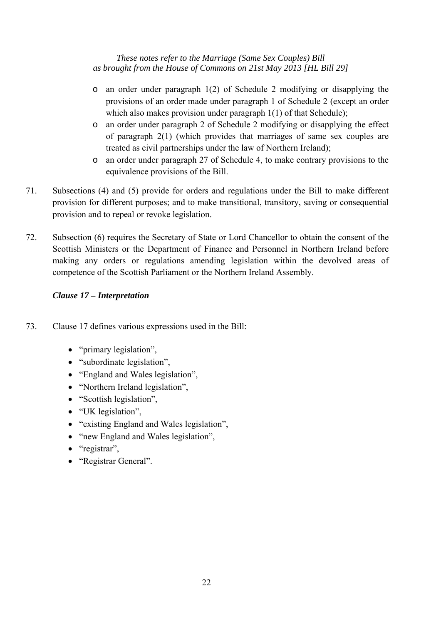- o an order under paragraph 1(2) of Schedule 2 modifying or disapplying the provisions of an order made under paragraph 1 of Schedule 2 (except an order which also makes provision under paragraph 1(1) of that Schedule);
- o an order under paragraph 2 of Schedule 2 modifying or disapplying the effect of paragraph 2(1) (which provides that marriages of same sex couples are treated as civil partnerships under the law of Northern Ireland);
- o an order under paragraph 27 of Schedule 4, to make contrary provisions to the equivalence provisions of the Bill.
- 71. Subsections (4) and (5) provide for orders and regulations under the Bill to make different provision for different purposes; and to make transitional, transitory, saving or consequential provision and to repeal or revoke legislation.
- 72. Subsection (6) requires the Secretary of State or Lord Chancellor to obtain the consent of the Scottish Ministers or the Department of Finance and Personnel in Northern Ireland before making any orders or regulations amending legislation within the devolved areas of competence of the Scottish Parliament or the Northern Ireland Assembly.

## *Clause 17 – Interpretation*

- 73. Clause 17 defines various expressions used in the Bill:
	- "primary legislation",
	- "subordinate legislation",
	- "England and Wales legislation",
	- "Northern Ireland legislation",
	- "Scottish legislation",
	- "UK legislation",
	- "existing England and Wales legislation",
	- "new England and Wales legislation",
	- "registrar",
	- "Registrar General".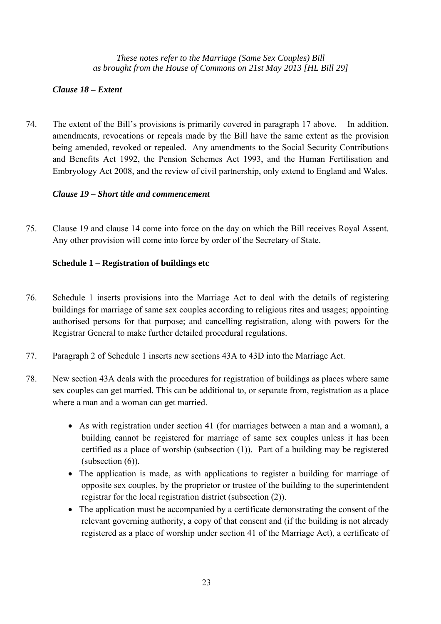## *Clause 18 – Extent*

74. The extent of the Bill's provisions is primarily covered in paragraph 17 above. In addition, amendments, revocations or repeals made by the Bill have the same extent as the provision being amended, revoked or repealed. Any amendments to the Social Security Contributions and Benefits Act 1992, the Pension Schemes Act 1993, and the Human Fertilisation and Embryology Act 2008, and the review of civil partnership, only extend to England and Wales.

## *Clause 19 – Short title and commencement*

75. Clause 19 and clause 14 come into force on the day on which the Bill receives Royal Assent. Any other provision will come into force by order of the Secretary of State.

## **Schedule 1 – Registration of buildings etc**

- 76. Schedule 1 inserts provisions into the Marriage Act to deal with the details of registering buildings for marriage of same sex couples according to religious rites and usages; appointing authorised persons for that purpose; and cancelling registration, along with powers for the Registrar General to make further detailed procedural regulations.
- 77. Paragraph 2 of Schedule 1 inserts new sections 43A to 43D into the Marriage Act.
- 78. New section 43A deals with the procedures for registration of buildings as places where same sex couples can get married. This can be additional to, or separate from, registration as a place where a man and a woman can get married.
	- As with registration under section 41 (for marriages between a man and a woman), a building cannot be registered for marriage of same sex couples unless it has been certified as a place of worship (subsection (1)). Part of a building may be registered (subsection (6)).
	- The application is made, as with applications to register a building for marriage of opposite sex couples, by the proprietor or trustee of the building to the superintendent registrar for the local registration district (subsection (2)).
	- The application must be accompanied by a certificate demonstrating the consent of the relevant governing authority, a copy of that consent and (if the building is not already registered as a place of worship under section 41 of the Marriage Act), a certificate of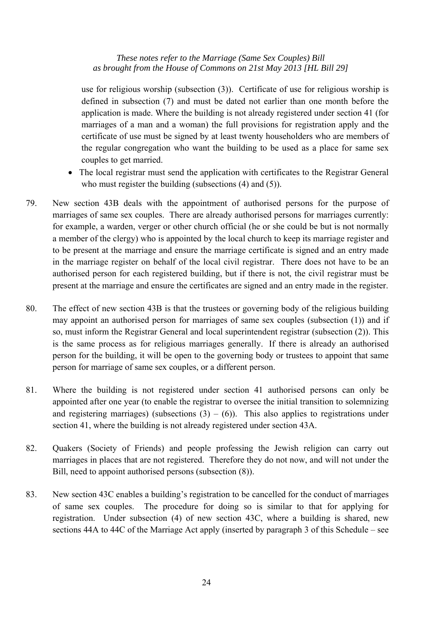use for religious worship (subsection (3)). Certificate of use for religious worship is defined in subsection (7) and must be dated not earlier than one month before the application is made. Where the building is not already registered under section 41 (for marriages of a man and a woman) the full provisions for registration apply and the certificate of use must be signed by at least twenty householders who are members of the regular congregation who want the building to be used as a place for same sex couples to get married.

- The local registrar must send the application with certificates to the Registrar General who must register the building (subsections (4) and (5)).
- 79. New section 43B deals with the appointment of authorised persons for the purpose of marriages of same sex couples. There are already authorised persons for marriages currently: for example, a warden, verger or other church official (he or she could be but is not normally a member of the clergy) who is appointed by the local church to keep its marriage register and to be present at the marriage and ensure the marriage certificate is signed and an entry made in the marriage register on behalf of the local civil registrar. There does not have to be an authorised person for each registered building, but if there is not, the civil registrar must be present at the marriage and ensure the certificates are signed and an entry made in the register.
- 80. The effect of new section 43B is that the trustees or governing body of the religious building may appoint an authorised person for marriages of same sex couples (subsection (1)) and if so, must inform the Registrar General and local superintendent registrar (subsection (2)). This is the same process as for religious marriages generally. If there is already an authorised person for the building, it will be open to the governing body or trustees to appoint that same person for marriage of same sex couples, or a different person.
- 81. Where the building is not registered under section 41 authorised persons can only be appointed after one year (to enable the registrar to oversee the initial transition to solemnizing and registering marriages) (subsections  $(3) - (6)$ ). This also applies to registrations under section 41, where the building is not already registered under section 43A.
- 82. Quakers (Society of Friends) and people professing the Jewish religion can carry out marriages in places that are not registered. Therefore they do not now, and will not under the Bill, need to appoint authorised persons (subsection (8)).
- 83. New section 43C enables a building's registration to be cancelled for the conduct of marriages of same sex couples. The procedure for doing so is similar to that for applying for registration. Under subsection (4) of new section 43C, where a building is shared, new sections 44A to 44C of the Marriage Act apply (inserted by paragraph 3 of this Schedule – see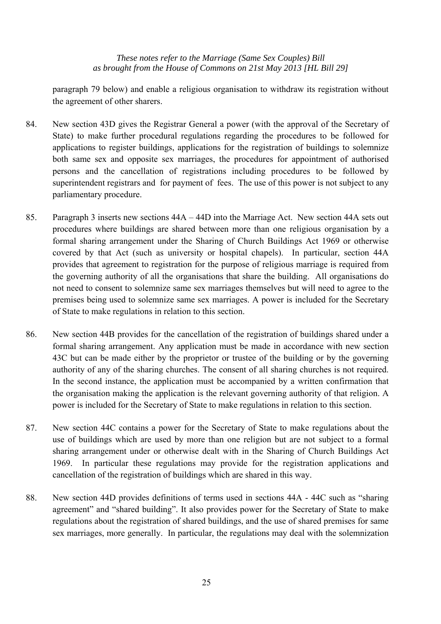paragraph 79 below) and enable a religious organisation to withdraw its registration without the agreement of other sharers.

- 84. New section 43D gives the Registrar General a power (with the approval of the Secretary of State) to make further procedural regulations regarding the procedures to be followed for applications to register buildings, applications for the registration of buildings to solemnize both same sex and opposite sex marriages, the procedures for appointment of authorised persons and the cancellation of registrations including procedures to be followed by superintendent registrars and for payment of fees. The use of this power is not subject to any parliamentary procedure.
- 85. Paragraph 3 inserts new sections 44A 44D into the Marriage Act. New section 44A sets out procedures where buildings are shared between more than one religious organisation by a formal sharing arrangement under the Sharing of Church Buildings Act 1969 or otherwise covered by that Act (such as university or hospital chapels). In particular, section 44A provides that agreement to registration for the purpose of religious marriage is required from the governing authority of all the organisations that share the building. All organisations do not need to consent to solemnize same sex marriages themselves but will need to agree to the premises being used to solemnize same sex marriages. A power is included for the Secretary of State to make regulations in relation to this section.
- 86. New section 44B provides for the cancellation of the registration of buildings shared under a formal sharing arrangement. Any application must be made in accordance with new section 43C but can be made either by the proprietor or trustee of the building or by the governing authority of any of the sharing churches. The consent of all sharing churches is not required. In the second instance, the application must be accompanied by a written confirmation that the organisation making the application is the relevant governing authority of that religion. A power is included for the Secretary of State to make regulations in relation to this section.
- 87. New section 44C contains a power for the Secretary of State to make regulations about the use of buildings which are used by more than one religion but are not subject to a formal sharing arrangement under or otherwise dealt with in the Sharing of Church Buildings Act 1969. In particular these regulations may provide for the registration applications and cancellation of the registration of buildings which are shared in this way.
- 88. New section 44D provides definitions of terms used in sections 44A 44C such as "sharing agreement" and "shared building". It also provides power for the Secretary of State to make regulations about the registration of shared buildings, and the use of shared premises for same sex marriages, more generally. In particular, the regulations may deal with the solemnization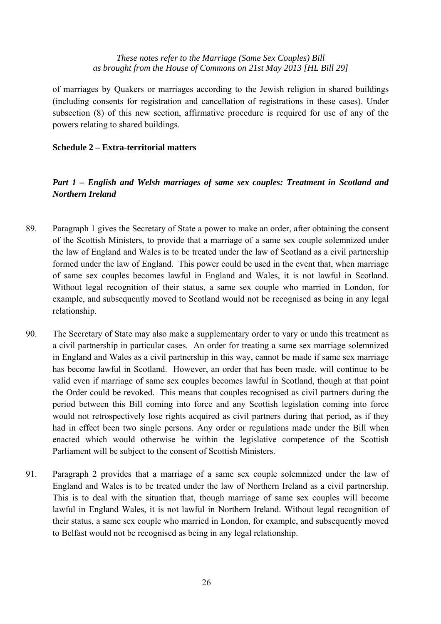of marriages by Quakers or marriages according to the Jewish religion in shared buildings (including consents for registration and cancellation of registrations in these cases). Under subsection (8) of this new section, affirmative procedure is required for use of any of the powers relating to shared buildings.

#### **Schedule 2 – Extra-territorial matters**

## *Part 1 – English and Welsh marriages of same sex couples: Treatment in Scotland and Northern Ireland*

- 89. Paragraph 1 gives the Secretary of State a power to make an order, after obtaining the consent of the Scottish Ministers, to provide that a marriage of a same sex couple solemnized under the law of England and Wales is to be treated under the law of Scotland as a civil partnership formed under the law of England. This power could be used in the event that, when marriage of same sex couples becomes lawful in England and Wales, it is not lawful in Scotland. Without legal recognition of their status, a same sex couple who married in London, for example, and subsequently moved to Scotland would not be recognised as being in any legal relationship.
- 90. The Secretary of State may also make a supplementary order to vary or undo this treatment as a civil partnership in particular cases. An order for treating a same sex marriage solemnized in England and Wales as a civil partnership in this way, cannot be made if same sex marriage has become lawful in Scotland. However, an order that has been made, will continue to be valid even if marriage of same sex couples becomes lawful in Scotland, though at that point the Order could be revoked. This means that couples recognised as civil partners during the period between this Bill coming into force and any Scottish legislation coming into force would not retrospectively lose rights acquired as civil partners during that period, as if they had in effect been two single persons. Any order or regulations made under the Bill when enacted which would otherwise be within the legislative competence of the Scottish Parliament will be subject to the consent of Scottish Ministers.
- 91. Paragraph 2 provides that a marriage of a same sex couple solemnized under the law of England and Wales is to be treated under the law of Northern Ireland as a civil partnership. This is to deal with the situation that, though marriage of same sex couples will become lawful in England Wales, it is not lawful in Northern Ireland. Without legal recognition of their status, a same sex couple who married in London, for example, and subsequently moved to Belfast would not be recognised as being in any legal relationship.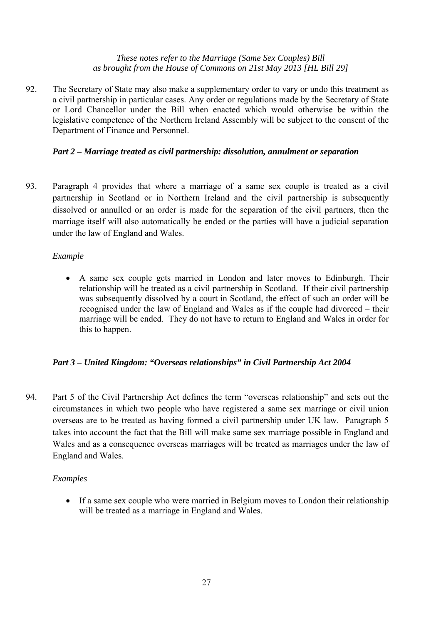92. The Secretary of State may also make a supplementary order to vary or undo this treatment as a civil partnership in particular cases. Any order or regulations made by the Secretary of State or Lord Chancellor under the Bill when enacted which would otherwise be within the legislative competence of the Northern Ireland Assembly will be subject to the consent of the Department of Finance and Personnel.

#### *Part 2 – Marriage treated as civil partnership: dissolution, annulment or separation*

93. Paragraph 4 provides that where a marriage of a same sex couple is treated as a civil partnership in Scotland or in Northern Ireland and the civil partnership is subsequently dissolved or annulled or an order is made for the separation of the civil partners, then the marriage itself will also automatically be ended or the parties will have a judicial separation under the law of England and Wales.

## *Example*

• A same sex couple gets married in London and later moves to Edinburgh. Their relationship will be treated as a civil partnership in Scotland. If their civil partnership was subsequently dissolved by a court in Scotland, the effect of such an order will be recognised under the law of England and Wales as if the couple had divorced – their marriage will be ended. They do not have to return to England and Wales in order for this to happen.

#### *Part 3 – United Kingdom: "Overseas relationships" in Civil Partnership Act 2004*

94. Part 5 of the Civil Partnership Act defines the term "overseas relationship" and sets out the circumstances in which two people who have registered a same sex marriage or civil union overseas are to be treated as having formed a civil partnership under UK law. Paragraph 5 takes into account the fact that the Bill will make same sex marriage possible in England and Wales and as a consequence overseas marriages will be treated as marriages under the law of England and Wales.

#### *Examples*

• If a same sex couple who were married in Belgium moves to London their relationship will be treated as a marriage in England and Wales.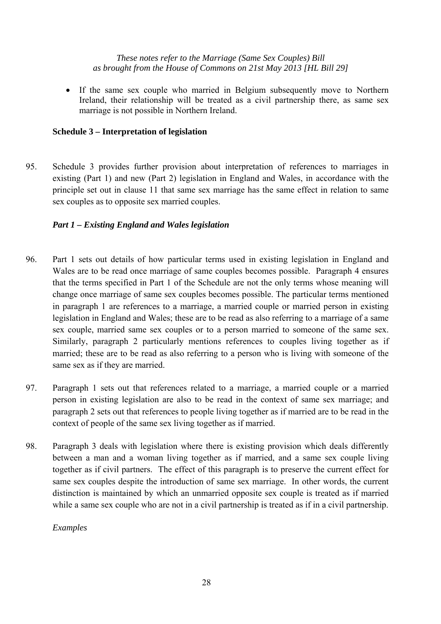• If the same sex couple who married in Belgium subsequently move to Northern Ireland, their relationship will be treated as a civil partnership there, as same sex marriage is not possible in Northern Ireland.

#### **Schedule 3 – Interpretation of legislation**

95. Schedule 3 provides further provision about interpretation of references to marriages in existing (Part 1) and new (Part 2) legislation in England and Wales, in accordance with the principle set out in clause 11 that same sex marriage has the same effect in relation to same sex couples as to opposite sex married couples.

#### *Part 1 – Existing England and Wales legislation*

- 96. Part 1 sets out details of how particular terms used in existing legislation in England and Wales are to be read once marriage of same couples becomes possible. Paragraph 4 ensures that the terms specified in Part 1 of the Schedule are not the only terms whose meaning will change once marriage of same sex couples becomes possible. The particular terms mentioned in paragraph 1 are references to a marriage, a married couple or married person in existing legislation in England and Wales; these are to be read as also referring to a marriage of a same sex couple, married same sex couples or to a person married to someone of the same sex. Similarly, paragraph 2 particularly mentions references to couples living together as if married; these are to be read as also referring to a person who is living with someone of the same sex as if they are married.
- 97. Paragraph 1 sets out that references related to a marriage, a married couple or a married person in existing legislation are also to be read in the context of same sex marriage; and paragraph 2 sets out that references to people living together as if married are to be read in the context of people of the same sex living together as if married.
- 98. Paragraph 3 deals with legislation where there is existing provision which deals differently between a man and a woman living together as if married, and a same sex couple living together as if civil partners. The effect of this paragraph is to preserve the current effect for same sex couples despite the introduction of same sex marriage. In other words, the current distinction is maintained by which an unmarried opposite sex couple is treated as if married while a same sex couple who are not in a civil partnership is treated as if in a civil partnership.

*Examples*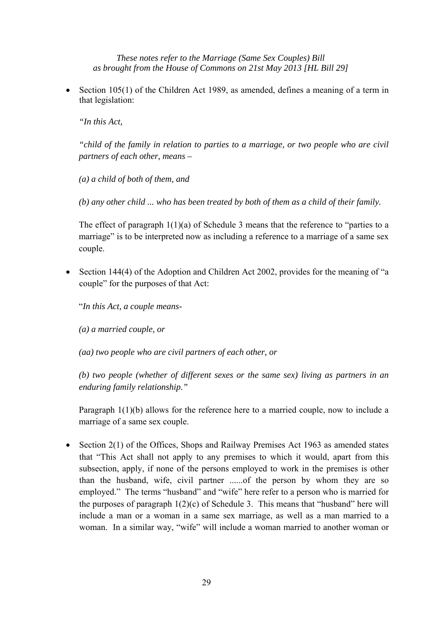• Section 105(1) of the Children Act 1989, as amended, defines a meaning of a term in that legislation:

*"In this Act,* 

*"child of the family in relation to parties to a marriage, or two people who are civil partners of each other, means –* 

*(a) a child of both of them, and* 

*(b) any other child ... who has been treated by both of them as a child of their family.* 

The effect of paragraph 1(1)(a) of Schedule 3 means that the reference to "parties to a marriage" is to be interpreted now as including a reference to a marriage of a same sex couple.

• Section 144(4) of the Adoption and Children Act 2002, provides for the meaning of "a couple" for the purposes of that Act:

"*In this Act, a couple means-* 

*(a) a married couple, or* 

*(aa) two people who are civil partners of each other, or* 

*(b) two people (whether of different sexes or the same sex) living as partners in an enduring family relationship."* 

Paragraph 1(1)(b) allows for the reference here to a married couple, now to include a marriage of a same sex couple.

• Section 2(1) of the Offices, Shops and Railway Premises Act 1963 as amended states that "This Act shall not apply to any premises to which it would, apart from this subsection, apply, if none of the persons employed to work in the premises is other than the husband, wife, civil partner ......of the person by whom they are so employed." The terms "husband" and "wife" here refer to a person who is married for the purposes of paragraph  $1(2)(c)$  of Schedule 3. This means that "husband" here will include a man or a woman in a same sex marriage, as well as a man married to a woman. In a similar way, "wife" will include a woman married to another woman or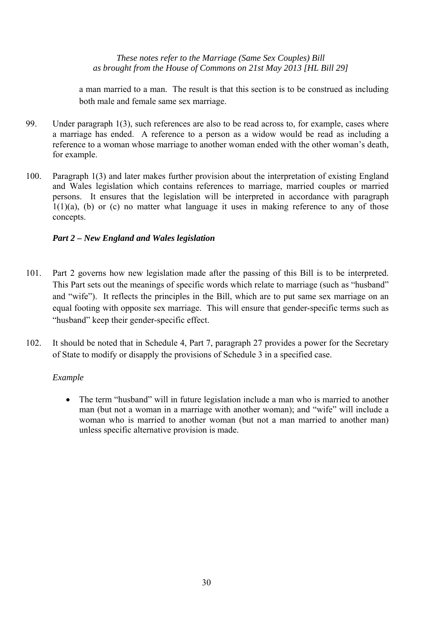a man married to a man. The result is that this section is to be construed as including both male and female same sex marriage.

- 99. Under paragraph 1(3), such references are also to be read across to, for example, cases where a marriage has ended. A reference to a person as a widow would be read as including a reference to a woman whose marriage to another woman ended with the other woman's death, for example.
- 100. Paragraph 1(3) and later makes further provision about the interpretation of existing England and Wales legislation which contains references to marriage, married couples or married persons. It ensures that the legislation will be interpreted in accordance with paragraph  $1(1)(a)$ , (b) or (c) no matter what language it uses in making reference to any of those concepts.

#### *Part 2 – New England and Wales legislation*

- 101. Part 2 governs how new legislation made after the passing of this Bill is to be interpreted. This Part sets out the meanings of specific words which relate to marriage (such as "husband" and "wife"). It reflects the principles in the Bill, which are to put same sex marriage on an equal footing with opposite sex marriage. This will ensure that gender-specific terms such as "husband" keep their gender-specific effect.
- 102. It should be noted that in Schedule 4, Part 7, paragraph 27 provides a power for the Secretary of State to modify or disapply the provisions of Schedule 3 in a specified case.

#### *Example*

• The term "husband" will in future legislation include a man who is married to another man (but not a woman in a marriage with another woman); and "wife" will include a woman who is married to another woman (but not a man married to another man) unless specific alternative provision is made.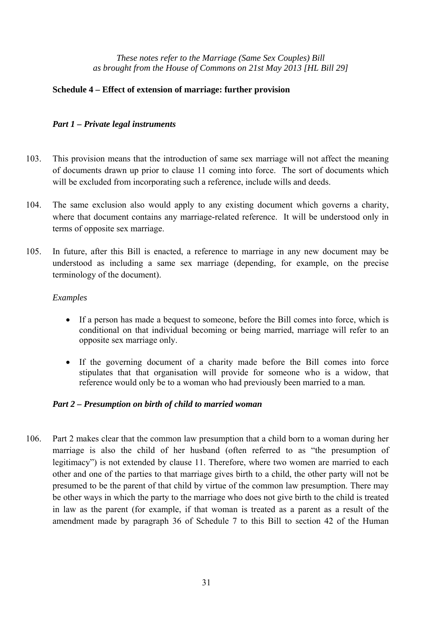#### **Schedule 4 – Effect of extension of marriage: further provision**

## *Part 1 – Private legal instruments*

- 103. This provision means that the introduction of same sex marriage will not affect the meaning of documents drawn up prior to clause 11 coming into force. The sort of documents which will be excluded from incorporating such a reference, include wills and deeds.
- 104. The same exclusion also would apply to any existing document which governs a charity, where that document contains any marriage-related reference. It will be understood only in terms of opposite sex marriage.
- 105. In future, after this Bill is enacted, a reference to marriage in any new document may be understood as including a same sex marriage (depending, for example, on the precise terminology of the document).

#### *Examples*

- If a person has made a bequest to someone, before the Bill comes into force, which is conditional on that individual becoming or being married, marriage will refer to an opposite sex marriage only.
- If the governing document of a charity made before the Bill comes into force stipulates that that organisation will provide for someone who is a widow, that reference would only be to a woman who had previously been married to a man*.*

#### *Part 2 – Presumption on birth of child to married woman*

106. Part 2 makes clear that the common law presumption that a child born to a woman during her marriage is also the child of her husband (often referred to as "the presumption of legitimacy") is not extended by clause 11. Therefore, where two women are married to each other and one of the parties to that marriage gives birth to a child, the other party will not be presumed to be the parent of that child by virtue of the common law presumption. There may be other ways in which the party to the marriage who does not give birth to the child is treated in law as the parent (for example, if that woman is treated as a parent as a result of the amendment made by paragraph 36 of Schedule 7 to this Bill to section 42 of the Human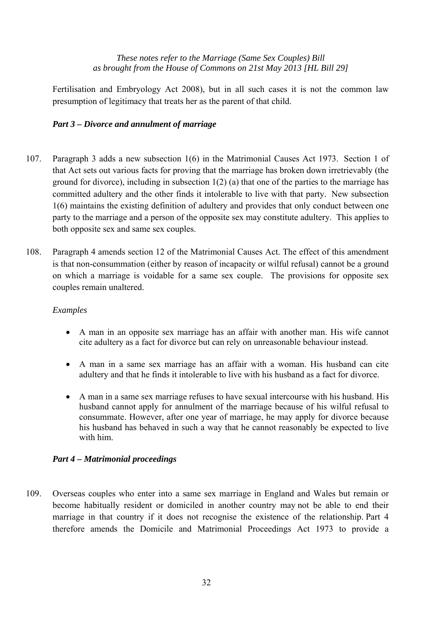Fertilisation and Embryology Act 2008), but in all such cases it is not the common law presumption of legitimacy that treats her as the parent of that child.

## *Part 3 – Divorce and annulment of marriage*

- 107. Paragraph 3 adds a new subsection 1(6) in the Matrimonial Causes Act 1973. Section 1 of that Act sets out various facts for proving that the marriage has broken down irretrievably (the ground for divorce), including in subsection 1(2) (a) that one of the parties to the marriage has committed adultery and the other finds it intolerable to live with that party. New subsection 1(6) maintains the existing definition of adultery and provides that only conduct between one party to the marriage and a person of the opposite sex may constitute adultery. This applies to both opposite sex and same sex couples.
- 108. Paragraph 4 amends section 12 of the Matrimonial Causes Act. The effect of this amendment is that non-consummation (either by reason of incapacity or wilful refusal) cannot be a ground on which a marriage is voidable for a same sex couple. The provisions for opposite sex couples remain unaltered.

#### *Examples*

- A man in an opposite sex marriage has an affair with another man. His wife cannot cite adultery as a fact for divorce but can rely on unreasonable behaviour instead.
- A man in a same sex marriage has an affair with a woman. His husband can cite adultery and that he finds it intolerable to live with his husband as a fact for divorce.
- A man in a same sex marriage refuses to have sexual intercourse with his husband. His husband cannot apply for annulment of the marriage because of his wilful refusal to consummate. However, after one year of marriage, he may apply for divorce because his husband has behaved in such a way that he cannot reasonably be expected to live with him.

#### *Part 4 – Matrimonial proceedings*

109. Overseas couples who enter into a same sex marriage in England and Wales but remain or become habitually resident or domiciled in another country may not be able to end their marriage in that country if it does not recognise the existence of the relationship. Part 4 therefore amends the Domicile and Matrimonial Proceedings Act 1973 to provide a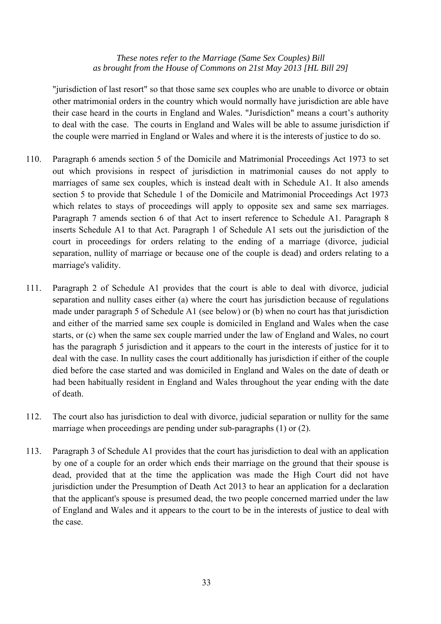"jurisdiction of last resort" so that those same sex couples who are unable to divorce or obtain other matrimonial orders in the country which would normally have jurisdiction are able have their case heard in the courts in England and Wales. "Jurisdiction" means a court's authority to deal with the case. The courts in England and Wales will be able to assume jurisdiction if the couple were married in England or Wales and where it is the interests of justice to do so.

- 110. Paragraph 6 amends section 5 of the Domicile and Matrimonial Proceedings Act 1973 to set out which provisions in respect of jurisdiction in matrimonial causes do not apply to marriages of same sex couples, which is instead dealt with in Schedule A1. It also amends section 5 to provide that Schedule 1 of the Domicile and Matrimonial Proceedings Act 1973 which relates to stays of proceedings will apply to opposite sex and same sex marriages. Paragraph 7 amends section 6 of that Act to insert reference to Schedule A1. Paragraph 8 inserts Schedule A1 to that Act. Paragraph 1 of Schedule A1 sets out the jurisdiction of the court in proceedings for orders relating to the ending of a marriage (divorce, judicial separation, nullity of marriage or because one of the couple is dead) and orders relating to a marriage's validity.
- 111. Paragraph 2 of Schedule A1 provides that the court is able to deal with divorce, judicial separation and nullity cases either (a) where the court has jurisdiction because of regulations made under paragraph 5 of Schedule A1 (see below) or (b) when no court has that jurisdiction and either of the married same sex couple is domiciled in England and Wales when the case starts, or (c) when the same sex couple married under the law of England and Wales, no court has the paragraph 5 jurisdiction and it appears to the court in the interests of justice for it to deal with the case. In nullity cases the court additionally has jurisdiction if either of the couple died before the case started and was domiciled in England and Wales on the date of death or had been habitually resident in England and Wales throughout the year ending with the date of death.
- 112. The court also has jurisdiction to deal with divorce, judicial separation or nullity for the same marriage when proceedings are pending under sub-paragraphs (1) or (2).
- 113. Paragraph 3 of Schedule A1 provides that the court has jurisdiction to deal with an application by one of a couple for an order which ends their marriage on the ground that their spouse is dead, provided that at the time the application was made the High Court did not have jurisdiction under the Presumption of Death Act 2013 to hear an application for a declaration that the applicant's spouse is presumed dead, the two people concerned married under the law of England and Wales and it appears to the court to be in the interests of justice to deal with the case.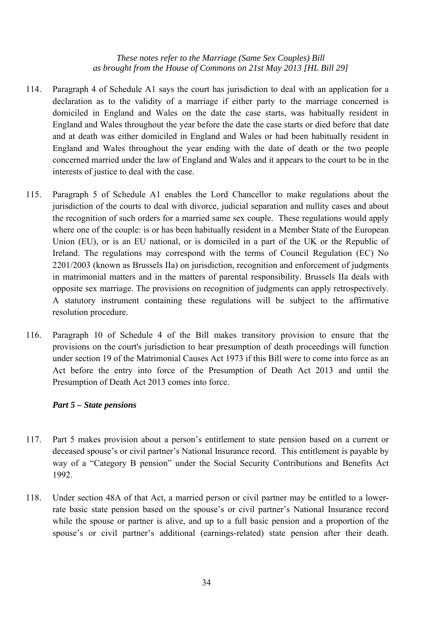- 114. Paragraph 4 of Schedule A1 says the court has jurisdiction to deal with an application for a declaration as to the validity of a marriage if either party to the marriage concerned is domiciled in England and Wales on the date the case starts, was habitually resident in England and Wales throughout the year before the date the case starts or died before that date and at death was either domiciled in England and Wales or had been habitually resident in England and Wales throughout the year ending with the date of death or the two people concerned married under the law of England and Wales and it appears to the court to be in the interests of justice to deal with the case.
- 115. Paragraph 5 of Schedule A1 enables the Lord Chancellor to make regulations about the jurisdiction of the courts to deal with divorce, judicial separation and nullity cases and about the recognition of such orders for a married same sex couple. These regulations would apply where one of the couple: is or has been habitually resident in a Member State of the European Union (EU), or is an EU national, or is domiciled in a part of the UK or the Republic of Ireland. The regulations may correspond with the terms of Council Regulation (EC) No 2201/2003 (known as Brussels IIa) on jurisdiction, recognition and enforcement of judgments in matrimonial matters and in the matters of parental responsibility. Brussels IIa deals with opposite sex marriage. The provisions on recognition of judgments can apply retrospectively. A statutory instrument containing these regulations will be subject to the affirmative resolution procedure.
- 116. Paragraph 10 of Schedule 4 of the Bill makes transitory provision to ensure that the provisions on the court's jurisdiction to hear presumption of death proceedings will function under section 19 of the Matrimonial Causes Act 1973 if this Bill were to come into force as an Act before the entry into force of the Presumption of Death Act 2013 and until the Presumption of Death Act 2013 comes into force.

#### *Part 5 – State pensions*

- 117. Part 5 makes provision about a person's entitlement to state pension based on a current or deceased spouse's or civil partner's National Insurance record. This entitlement is payable by way of a "Category B pension" under the Social Security Contributions and Benefits Act 1992.
- 118. Under section 48A of that Act, a married person or civil partner may be entitled to a lowerrate basic state pension based on the spouse's or civil partner's National Insurance record while the spouse or partner is alive, and up to a full basic pension and a proportion of the spouse's or civil partner's additional (earnings-related) state pension after their death.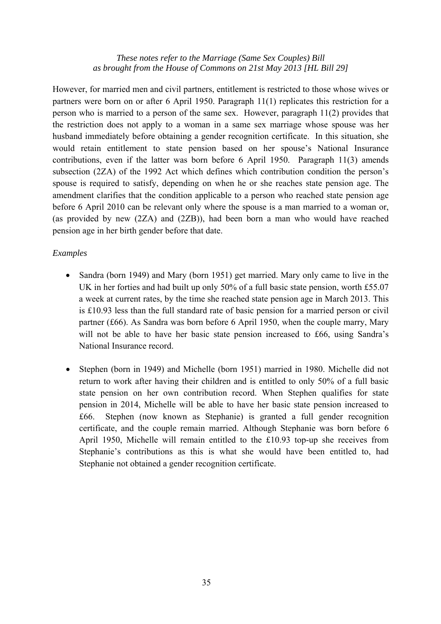However, for married men and civil partners, entitlement is restricted to those whose wives or partners were born on or after 6 April 1950. Paragraph 11(1) replicates this restriction for a person who is married to a person of the same sex. However, paragraph 11(2) provides that the restriction does not apply to a woman in a same sex marriage whose spouse was her husband immediately before obtaining a gender recognition certificate. In this situation, she would retain entitlement to state pension based on her spouse's National Insurance contributions, even if the latter was born before 6 April 1950. Paragraph 11(3) amends subsection (2ZA) of the 1992 Act which defines which contribution condition the person's spouse is required to satisfy, depending on when he or she reaches state pension age. The amendment clarifies that the condition applicable to a person who reached state pension age before 6 April 2010 can be relevant only where the spouse is a man married to a woman or, (as provided by new (2ZA) and (2ZB)), had been born a man who would have reached pension age in her birth gender before that date.

#### *Examples*

- Sandra (born 1949) and Mary (born 1951) get married. Mary only came to live in the UK in her forties and had built up only 50% of a full basic state pension, worth £55.07 a week at current rates, by the time she reached state pension age in March 2013. This is £10.93 less than the full standard rate of basic pension for a married person or civil partner (£66). As Sandra was born before 6 April 1950, when the couple marry, Mary will not be able to have her basic state pension increased to £66, using Sandra's National Insurance record.
- Stephen (born in 1949) and Michelle (born 1951) married in 1980. Michelle did not return to work after having their children and is entitled to only 50% of a full basic state pension on her own contribution record. When Stephen qualifies for state pension in 2014, Michelle will be able to have her basic state pension increased to £66. Stephen (now known as Stephanie) is granted a full gender recognition certificate, and the couple remain married. Although Stephanie was born before 6 April 1950, Michelle will remain entitled to the £10.93 top-up she receives from Stephanie's contributions as this is what she would have been entitled to, had Stephanie not obtained a gender recognition certificate.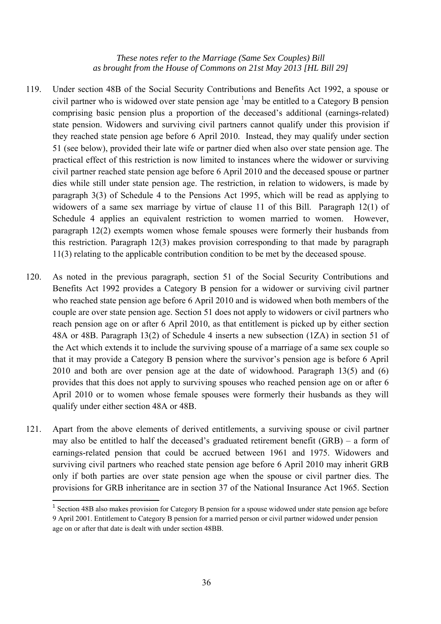- 119. Under section 48B of the Social Security Contributions and Benefits Act 1992, a spouse or civil partner who is widowed over state pension age  $\frac{1}{2}$  may be entitled to a Category B pension comprising basic pension plus a proportion of the deceased's additional (earnings-related) state pension. Widowers and surviving civil partners cannot qualify under this provision if they reached state pension age before 6 April 2010. Instead, they may qualify under section 51 (see below), provided their late wife or partner died when also over state pension age. The practical effect of this restriction is now limited to instances where the widower or surviving civil partner reached state pension age before 6 April 2010 and the deceased spouse or partner dies while still under state pension age. The restriction, in relation to widowers, is made by paragraph 3(3) of Schedule 4 to the Pensions Act 1995, which will be read as applying to widowers of a same sex marriage by virtue of clause 11 of this Bill. Paragraph 12(1) of Schedule 4 applies an equivalent restriction to women married to women. However, paragraph 12(2) exempts women whose female spouses were formerly their husbands from this restriction. Paragraph 12(3) makes provision corresponding to that made by paragraph 11(3) relating to the applicable contribution condition to be met by the deceased spouse.
- 120. As noted in the previous paragraph, section 51 of the Social Security Contributions and Benefits Act 1992 provides a Category B pension for a widower or surviving civil partner who reached state pension age before 6 April 2010 and is widowed when both members of the couple are over state pension age. Section 51 does not apply to widowers or civil partners who reach pension age on or after 6 April 2010, as that entitlement is picked up by either section 48A or 48B. Paragraph 13(2) of Schedule 4 inserts a new subsection (1ZA) in section 51 of the Act which extends it to include the surviving spouse of a marriage of a same sex couple so that it may provide a Category B pension where the survivor's pension age is before 6 April 2010 and both are over pension age at the date of widowhood. Paragraph 13(5) and (6) provides that this does not apply to surviving spouses who reached pension age on or after 6 April 2010 or to women whose female spouses were formerly their husbands as they will qualify under either section 48A or 48B.
- 121. Apart from the above elements of derived entitlements, a surviving spouse or civil partner may also be entitled to half the deceased's graduated retirement benefit (GRB) – a form of earnings-related pension that could be accrued between 1961 and 1975. Widowers and surviving civil partners who reached state pension age before 6 April 2010 may inherit GRB only if both parties are over state pension age when the spouse or civil partner dies. The provisions for GRB inheritance are in section 37 of the National Insurance Act 1965. Section

 $\overline{a}$ 

<sup>1</sup> Section 48B also makes provision for Category B pension for a spouse widowed under state pension age before 9 April 2001. Entitlement to Category B pension for a married person or civil partner widowed under pension age on or after that date is dealt with under section 48BB.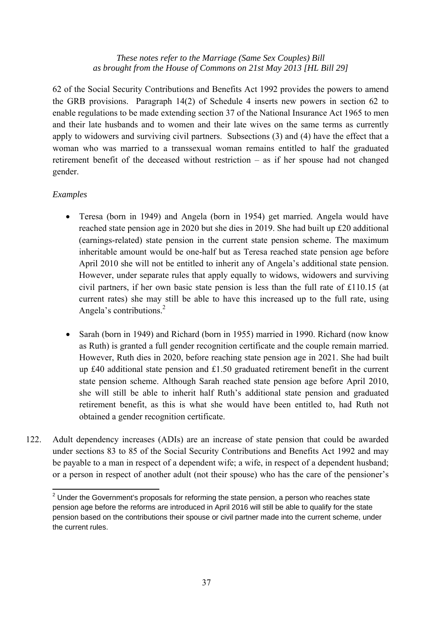62 of the Social Security Contributions and Benefits Act 1992 provides the powers to amend the GRB provisions. Paragraph 14(2) of Schedule 4 inserts new powers in section 62 to enable regulations to be made extending section 37 of the National Insurance Act 1965 to men and their late husbands and to women and their late wives on the same terms as currently apply to widowers and surviving civil partners. Subsections (3) and (4) have the effect that a woman who was married to a transsexual woman remains entitled to half the graduated retirement benefit of the deceased without restriction – as if her spouse had not changed gender.

## *Examples*

 $\overline{a}$ 

- Teresa (born in 1949) and Angela (born in 1954) get married. Angela would have reached state pension age in 2020 but she dies in 2019. She had built up £20 additional (earnings-related) state pension in the current state pension scheme. The maximum inheritable amount would be one-half but as Teresa reached state pension age before April 2010 she will not be entitled to inherit any of Angela's additional state pension. However, under separate rules that apply equally to widows, widowers and surviving civil partners, if her own basic state pension is less than the full rate of £110.15 (at current rates) she may still be able to have this increased up to the full rate, using Angela's contributions.<sup>2</sup>
- Sarah (born in 1949) and Richard (born in 1955) married in 1990. Richard (now know as Ruth) is granted a full gender recognition certificate and the couple remain married. However, Ruth dies in 2020, before reaching state pension age in 2021. She had built up £40 additional state pension and £1.50 graduated retirement benefit in the current state pension scheme. Although Sarah reached state pension age before April 2010, she will still be able to inherit half Ruth's additional state pension and graduated retirement benefit, as this is what she would have been entitled to, had Ruth not obtained a gender recognition certificate.
- 122. Adult dependency increases (ADIs) are an increase of state pension that could be awarded under sections 83 to 85 of the Social Security Contributions and Benefits Act 1992 and may be payable to a man in respect of a dependent wife; a wife, in respect of a dependent husband; or a person in respect of another adult (not their spouse) who has the care of the pensioner's

 $2$  Under the Government's proposals for reforming the state pension, a person who reaches state pension age before the reforms are introduced in April 2016 will still be able to qualify for the state pension based on the contributions their spouse or civil partner made into the current scheme, under the current rules.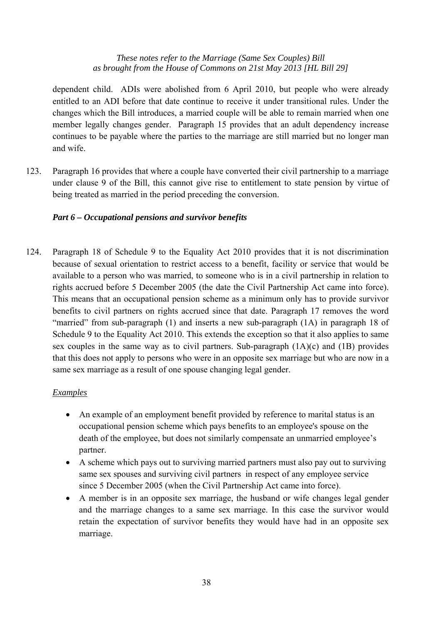dependent child. ADIs were abolished from 6 April 2010, but people who were already entitled to an ADI before that date continue to receive it under transitional rules. Under the changes which the Bill introduces, a married couple will be able to remain married when one member legally changes gender. Paragraph 15 provides that an adult dependency increase continues to be payable where the parties to the marriage are still married but no longer man and wife.

123. Paragraph 16 provides that where a couple have converted their civil partnership to a marriage under clause 9 of the Bill, this cannot give rise to entitlement to state pension by virtue of being treated as married in the period preceding the conversion.

## *Part 6 – Occupational pensions and survivor benefits*

124. Paragraph 18 of Schedule 9 to the Equality Act 2010 provides that it is not discrimination because of sexual orientation to restrict access to a benefit, facility or service that would be available to a person who was married, to someone who is in a civil partnership in relation to rights accrued before 5 December 2005 (the date the Civil Partnership Act came into force). This means that an occupational pension scheme as a minimum only has to provide survivor benefits to civil partners on rights accrued since that date. Paragraph 17 removes the word "married" from sub-paragraph (1) and inserts a new sub-paragraph (1A) in paragraph 18 of Schedule 9 to the Equality Act 2010. This extends the exception so that it also applies to same sex couples in the same way as to civil partners. Sub-paragraph (1A)(c) and (1B) provides that this does not apply to persons who were in an opposite sex marriage but who are now in a same sex marriage as a result of one spouse changing legal gender.

#### *Examples*

- An example of an employment benefit provided by reference to marital status is an occupational pension scheme which pays benefits to an employee's spouse on the death of the employee, but does not similarly compensate an unmarried employee's partner.
- A scheme which pays out to surviving married partners must also pay out to surviving same sex spouses and surviving civil partners in respect of any employee service since 5 December 2005 (when the Civil Partnership Act came into force).
- A member is in an opposite sex marriage, the husband or wife changes legal gender and the marriage changes to a same sex marriage. In this case the survivor would retain the expectation of survivor benefits they would have had in an opposite sex marriage.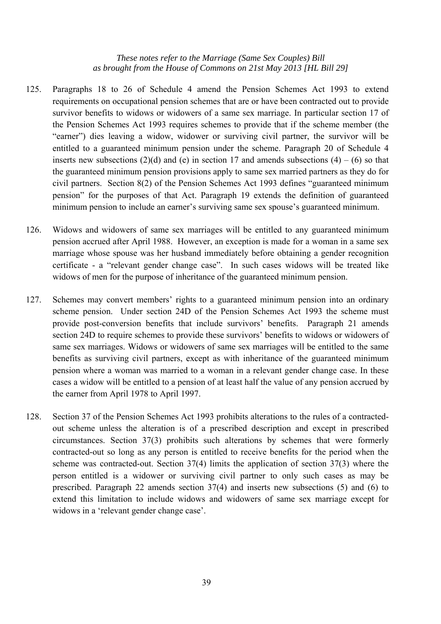- 125. Paragraphs 18 to 26 of Schedule 4 amend the Pension Schemes Act 1993 to extend requirements on occupational pension schemes that are or have been contracted out to provide survivor benefits to widows or widowers of a same sex marriage. In particular section 17 of the Pension Schemes Act 1993 requires schemes to provide that if the scheme member (the "earner") dies leaving a widow, widower or surviving civil partner, the survivor will be entitled to a guaranteed minimum pension under the scheme. Paragraph 20 of Schedule 4 inserts new subsections (2)(d) and (e) in section 17 and amends subsections (4) – (6) so that the guaranteed minimum pension provisions apply to same sex married partners as they do for civil partners. Section 8(2) of the Pension Schemes Act 1993 defines "guaranteed minimum pension" for the purposes of that Act. Paragraph 19 extends the definition of guaranteed minimum pension to include an earner's surviving same sex spouse's guaranteed minimum.
- 126. Widows and widowers of same sex marriages will be entitled to any guaranteed minimum pension accrued after April 1988. However, an exception is made for a woman in a same sex marriage whose spouse was her husband immediately before obtaining a gender recognition certificate - a "relevant gender change case". In such cases widows will be treated like widows of men for the purpose of inheritance of the guaranteed minimum pension.
- 127. Schemes may convert members' rights to a guaranteed minimum pension into an ordinary scheme pension. Under section 24D of the Pension Schemes Act 1993 the scheme must provide post-conversion benefits that include survivors' benefits. Paragraph 21 amends section 24D to require schemes to provide these survivors' benefits to widows or widowers of same sex marriages. Widows or widowers of same sex marriages will be entitled to the same benefits as surviving civil partners, except as with inheritance of the guaranteed minimum pension where a woman was married to a woman in a relevant gender change case. In these cases a widow will be entitled to a pension of at least half the value of any pension accrued by the earner from April 1978 to April 1997.
- 128. Section 37 of the Pension Schemes Act 1993 prohibits alterations to the rules of a contractedout scheme unless the alteration is of a prescribed description and except in prescribed circumstances. Section 37(3) prohibits such alterations by schemes that were formerly contracted-out so long as any person is entitled to receive benefits for the period when the scheme was contracted-out. Section 37(4) limits the application of section 37(3) where the person entitled is a widower or surviving civil partner to only such cases as may be prescribed. Paragraph 22 amends section 37(4) and inserts new subsections (5) and (6) to extend this limitation to include widows and widowers of same sex marriage except for widows in a 'relevant gender change case'.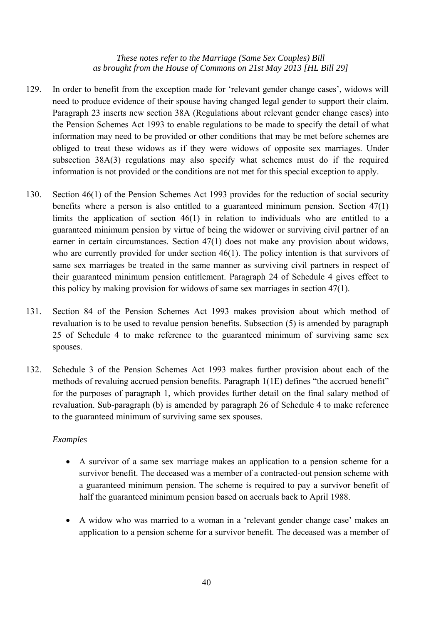- 129. In order to benefit from the exception made for 'relevant gender change cases', widows will need to produce evidence of their spouse having changed legal gender to support their claim. Paragraph 23 inserts new section 38A (Regulations about relevant gender change cases) into the Pension Schemes Act 1993 to enable regulations to be made to specify the detail of what information may need to be provided or other conditions that may be met before schemes are obliged to treat these widows as if they were widows of opposite sex marriages. Under subsection 38A(3) regulations may also specify what schemes must do if the required information is not provided or the conditions are not met for this special exception to apply.
- 130. Section 46(1) of the Pension Schemes Act 1993 provides for the reduction of social security benefits where a person is also entitled to a guaranteed minimum pension. Section 47(1) limits the application of section 46(1) in relation to individuals who are entitled to a guaranteed minimum pension by virtue of being the widower or surviving civil partner of an earner in certain circumstances. Section 47(1) does not make any provision about widows, who are currently provided for under section 46(1). The policy intention is that survivors of same sex marriages be treated in the same manner as surviving civil partners in respect of their guaranteed minimum pension entitlement. Paragraph 24 of Schedule 4 gives effect to this policy by making provision for widows of same sex marriages in section 47(1).
- 131. Section 84 of the Pension Schemes Act 1993 makes provision about which method of revaluation is to be used to revalue pension benefits. Subsection (5) is amended by paragraph 25 of Schedule 4 to make reference to the guaranteed minimum of surviving same sex spouses.
- 132. Schedule 3 of the Pension Schemes Act 1993 makes further provision about each of the methods of revaluing accrued pension benefits. Paragraph 1(1E) defines "the accrued benefit" for the purposes of paragraph 1, which provides further detail on the final salary method of revaluation. Sub-paragraph (b) is amended by paragraph 26 of Schedule 4 to make reference to the guaranteed minimum of surviving same sex spouses.

## *Examples*

- A survivor of a same sex marriage makes an application to a pension scheme for a survivor benefit. The deceased was a member of a contracted-out pension scheme with a guaranteed minimum pension. The scheme is required to pay a survivor benefit of half the guaranteed minimum pension based on accruals back to April 1988.
- A widow who was married to a woman in a 'relevant gender change case' makes an application to a pension scheme for a survivor benefit. The deceased was a member of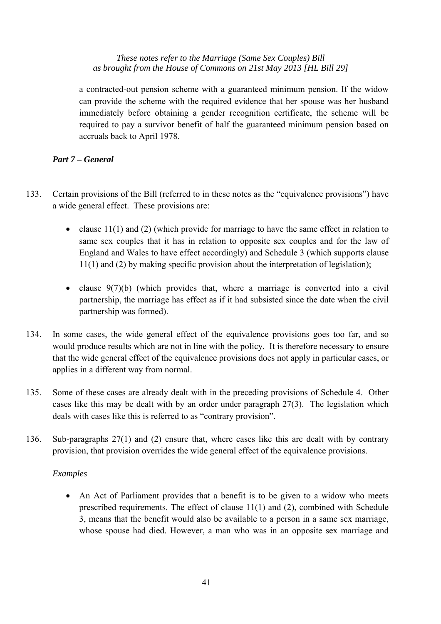a contracted-out pension scheme with a guaranteed minimum pension. If the widow can provide the scheme with the required evidence that her spouse was her husband immediately before obtaining a gender recognition certificate, the scheme will be required to pay a survivor benefit of half the guaranteed minimum pension based on accruals back to April 1978.

## *Part 7 – General*

- 133. Certain provisions of the Bill (referred to in these notes as the "equivalence provisions") have a wide general effect. These provisions are:
	- clause 11(1) and (2) (which provide for marriage to have the same effect in relation to same sex couples that it has in relation to opposite sex couples and for the law of England and Wales to have effect accordingly) and Schedule 3 (which supports clause 11(1) and (2) by making specific provision about the interpretation of legislation);
	- clause  $9(7)(b)$  (which provides that, where a marriage is converted into a civil partnership, the marriage has effect as if it had subsisted since the date when the civil partnership was formed).
- 134. In some cases, the wide general effect of the equivalence provisions goes too far, and so would produce results which are not in line with the policy. It is therefore necessary to ensure that the wide general effect of the equivalence provisions does not apply in particular cases, or applies in a different way from normal.
- 135. Some of these cases are already dealt with in the preceding provisions of Schedule 4. Other cases like this may be dealt with by an order under paragraph 27(3). The legislation which deals with cases like this is referred to as "contrary provision".
- 136. Sub-paragraphs 27(1) and (2) ensure that, where cases like this are dealt with by contrary provision, that provision overrides the wide general effect of the equivalence provisions.

#### *Examples*

• An Act of Parliament provides that a benefit is to be given to a widow who meets prescribed requirements. The effect of clause 11(1) and (2), combined with Schedule 3, means that the benefit would also be available to a person in a same sex marriage, whose spouse had died. However, a man who was in an opposite sex marriage and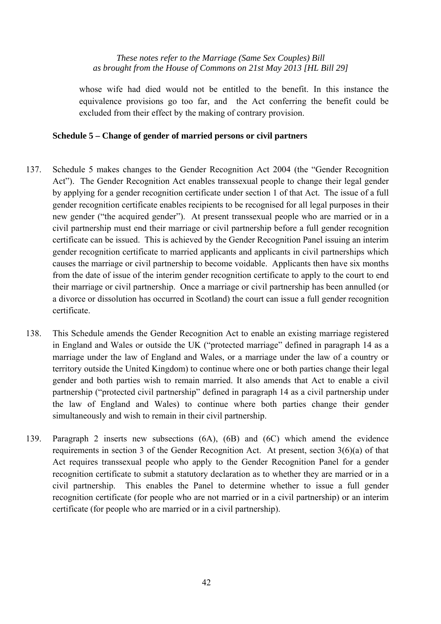whose wife had died would not be entitled to the benefit. In this instance the equivalence provisions go too far, and the Act conferring the benefit could be excluded from their effect by the making of contrary provision.

#### **Schedule 5 – Change of gender of married persons or civil partners**

- 137. Schedule 5 makes changes to the Gender Recognition Act 2004 (the "Gender Recognition Act"). The Gender Recognition Act enables transsexual people to change their legal gender by applying for a gender recognition certificate under section 1 of that Act. The issue of a full gender recognition certificate enables recipients to be recognised for all legal purposes in their new gender ("the acquired gender"). At present transsexual people who are married or in a civil partnership must end their marriage or civil partnership before a full gender recognition certificate can be issued. This is achieved by the Gender Recognition Panel issuing an interim gender recognition certificate to married applicants and applicants in civil partnerships which causes the marriage or civil partnership to become voidable. Applicants then have six months from the date of issue of the interim gender recognition certificate to apply to the court to end their marriage or civil partnership. Once a marriage or civil partnership has been annulled (or a divorce or dissolution has occurred in Scotland) the court can issue a full gender recognition certificate.
- 138. This Schedule amends the Gender Recognition Act to enable an existing marriage registered in England and Wales or outside the UK ("protected marriage" defined in paragraph 14 as a marriage under the law of England and Wales, or a marriage under the law of a country or territory outside the United Kingdom) to continue where one or both parties change their legal gender and both parties wish to remain married. It also amends that Act to enable a civil partnership ("protected civil partnership" defined in paragraph 14 as a civil partnership under the law of England and Wales) to continue where both parties change their gender simultaneously and wish to remain in their civil partnership.
- 139. Paragraph 2 inserts new subsections (6A), (6B) and (6C) which amend the evidence requirements in section 3 of the Gender Recognition Act. At present, section 3(6)(a) of that Act requires transsexual people who apply to the Gender Recognition Panel for a gender recognition certificate to submit a statutory declaration as to whether they are married or in a civil partnership. This enables the Panel to determine whether to issue a full gender recognition certificate (for people who are not married or in a civil partnership) or an interim certificate (for people who are married or in a civil partnership).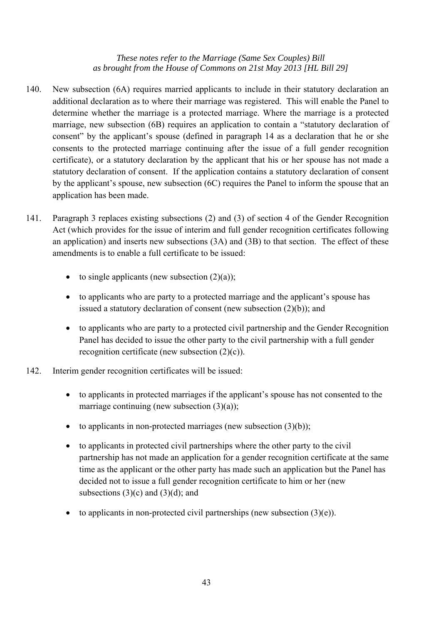- 140. New subsection (6A) requires married applicants to include in their statutory declaration an additional declaration as to where their marriage was registered. This will enable the Panel to determine whether the marriage is a protected marriage. Where the marriage is a protected marriage, new subsection (6B) requires an application to contain a "statutory declaration of consent" by the applicant's spouse (defined in paragraph 14 as a declaration that he or she consents to the protected marriage continuing after the issue of a full gender recognition certificate), or a statutory declaration by the applicant that his or her spouse has not made a statutory declaration of consent. If the application contains a statutory declaration of consent by the applicant's spouse, new subsection (6C) requires the Panel to inform the spouse that an application has been made.
- 141. Paragraph 3 replaces existing subsections (2) and (3) of section 4 of the Gender Recognition Act (which provides for the issue of interim and full gender recognition certificates following an application) and inserts new subsections (3A) and (3B) to that section. The effect of these amendments is to enable a full certificate to be issued:
	- to single applicants (new subsection  $(2)(a)$ );
	- to applicants who are party to a protected marriage and the applicant's spouse has issued a statutory declaration of consent (new subsection (2)(b)); and
	- to applicants who are party to a protected civil partnership and the Gender Recognition Panel has decided to issue the other party to the civil partnership with a full gender recognition certificate (new subsection (2)(c)).
- 142. Interim gender recognition certificates will be issued:
	- to applicants in protected marriages if the applicant's spouse has not consented to the marriage continuing (new subsection  $(3)(a)$ );
	- to applicants in non-protected marriages (new subsection  $(3)(b)$ );
	- to applicants in protected civil partnerships where the other party to the civil partnership has not made an application for a gender recognition certificate at the same time as the applicant or the other party has made such an application but the Panel has decided not to issue a full gender recognition certificate to him or her (new subsections  $(3)(c)$  and  $(3)(d)$ ; and
	- to applicants in non-protected civil partnerships (new subsection  $(3)(e)$ ).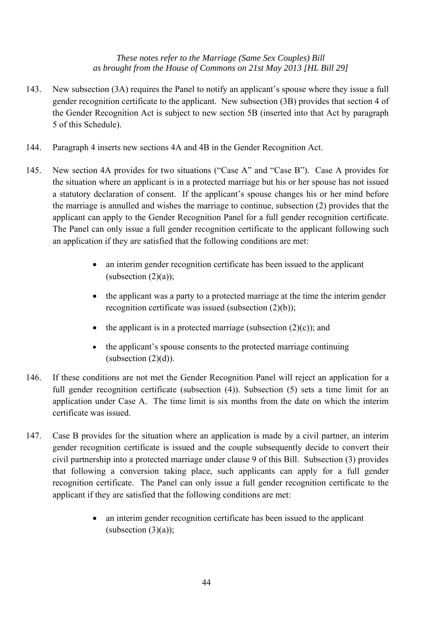- 143. New subsection (3A) requires the Panel to notify an applicant's spouse where they issue a full gender recognition certificate to the applicant. New subsection (3B) provides that section 4 of the Gender Recognition Act is subject to new section 5B (inserted into that Act by paragraph 5 of this Schedule).
- 144. Paragraph 4 inserts new sections 4A and 4B in the Gender Recognition Act.
- 145. New section 4A provides for two situations ("Case A" and "Case B"). Case A provides for the situation where an applicant is in a protected marriage but his or her spouse has not issued a statutory declaration of consent. If the applicant's spouse changes his or her mind before the marriage is annulled and wishes the marriage to continue, subsection (2) provides that the applicant can apply to the Gender Recognition Panel for a full gender recognition certificate. The Panel can only issue a full gender recognition certificate to the applicant following such an application if they are satisfied that the following conditions are met:
	- an interim gender recognition certificate has been issued to the applicant  $(subsection (2)(a))$ ;
	- the applicant was a party to a protected marriage at the time the interim gender recognition certificate was issued (subsection (2)(b));
	- the applicant is in a protected marriage (subsection  $(2)(c)$ ); and
	- the applicant's spouse consents to the protected marriage continuing (subsection  $(2)(d)$ ).
- 146. If these conditions are not met the Gender Recognition Panel will reject an application for a full gender recognition certificate (subsection (4)). Subsection (5) sets a time limit for an application under Case A. The time limit is six months from the date on which the interim certificate was issued.
- 147. Case B provides for the situation where an application is made by a civil partner, an interim gender recognition certificate is issued and the couple subsequently decide to convert their civil partnership into a protected marriage under clause 9 of this Bill. Subsection (3) provides that following a conversion taking place, such applicants can apply for a full gender recognition certificate. The Panel can only issue a full gender recognition certificate to the applicant if they are satisfied that the following conditions are met:
	- an interim gender recognition certificate has been issued to the applicant (subsection  $(3)(a)$ );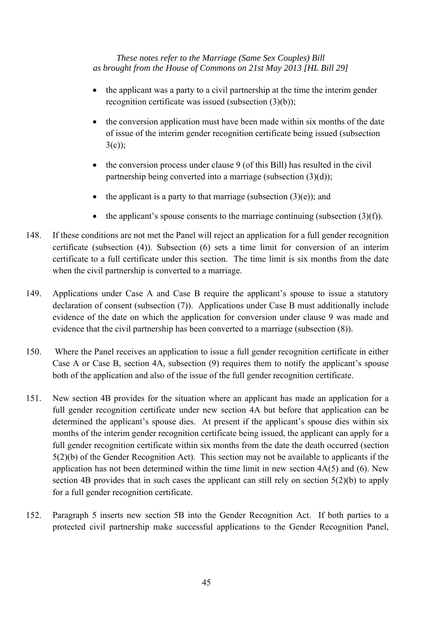- the applicant was a party to a civil partnership at the time the interim gender recognition certificate was issued (subsection (3)(b));
- the conversion application must have been made within six months of the date of issue of the interim gender recognition certificate being issued (subsection  $3(c)$ :
- the conversion process under clause 9 (of this Bill) has resulted in the civil partnership being converted into a marriage (subsection (3)(d));
- the applicant is a party to that marriage (subsection  $(3)(e)$ ); and
- the applicant's spouse consents to the marriage continuing (subsection  $(3)(f)$ ).
- 148. If these conditions are not met the Panel will reject an application for a full gender recognition certificate (subsection (4)). Subsection (6) sets a time limit for conversion of an interim certificate to a full certificate under this section. The time limit is six months from the date when the civil partnership is converted to a marriage.
- 149. Applications under Case A and Case B require the applicant's spouse to issue a statutory declaration of consent (subsection (7)). Applications under Case B must additionally include evidence of the date on which the application for conversion under clause 9 was made and evidence that the civil partnership has been converted to a marriage (subsection (8)).
- 150. Where the Panel receives an application to issue a full gender recognition certificate in either Case A or Case B, section 4A, subsection (9) requires them to notify the applicant's spouse both of the application and also of the issue of the full gender recognition certificate.
- 151. New section 4B provides for the situation where an applicant has made an application for a full gender recognition certificate under new section 4A but before that application can be determined the applicant's spouse dies. At present if the applicant's spouse dies within six months of the interim gender recognition certificate being issued, the applicant can apply for a full gender recognition certificate within six months from the date the death occurred (section 5(2)(b) of the Gender Recognition Act). This section may not be available to applicants if the application has not been determined within the time limit in new section 4A(5) and (6). New section 4B provides that in such cases the applicant can still rely on section 5(2)(b) to apply for a full gender recognition certificate.
- 152. Paragraph 5 inserts new section 5B into the Gender Recognition Act. If both parties to a protected civil partnership make successful applications to the Gender Recognition Panel,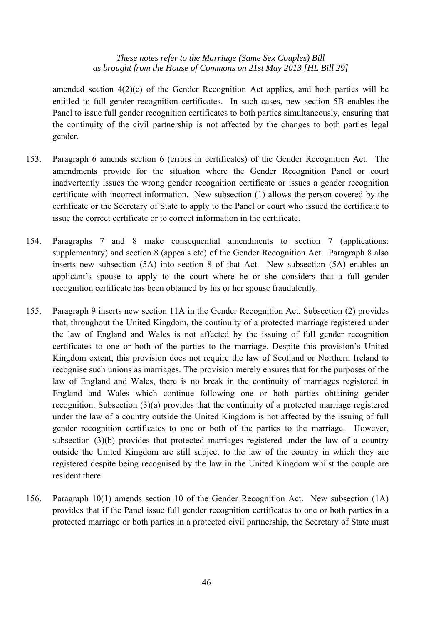amended section 4(2)(c) of the Gender Recognition Act applies, and both parties will be entitled to full gender recognition certificates. In such cases, new section 5B enables the Panel to issue full gender recognition certificates to both parties simultaneously, ensuring that the continuity of the civil partnership is not affected by the changes to both parties legal gender.

- 153. Paragraph 6 amends section 6 (errors in certificates) of the Gender Recognition Act. The amendments provide for the situation where the Gender Recognition Panel or court inadvertently issues the wrong gender recognition certificate or issues a gender recognition certificate with incorrect information. New subsection (1) allows the person covered by the certificate or the Secretary of State to apply to the Panel or court who issued the certificate to issue the correct certificate or to correct information in the certificate.
- 154. Paragraphs 7 and 8 make consequential amendments to section 7 (applications: supplementary) and section 8 (appeals etc) of the Gender Recognition Act. Paragraph 8 also inserts new subsection (5A) into section 8 of that Act. New subsection (5A) enables an applicant's spouse to apply to the court where he or she considers that a full gender recognition certificate has been obtained by his or her spouse fraudulently.
- 155. Paragraph 9 inserts new section 11A in the Gender Recognition Act. Subsection (2) provides that, throughout the United Kingdom, the continuity of a protected marriage registered under the law of England and Wales is not affected by the issuing of full gender recognition certificates to one or both of the parties to the marriage. Despite this provision's United Kingdom extent, this provision does not require the law of Scotland or Northern Ireland to recognise such unions as marriages. The provision merely ensures that for the purposes of the law of England and Wales, there is no break in the continuity of marriages registered in England and Wales which continue following one or both parties obtaining gender recognition. Subsection (3)(a) provides that the continuity of a protected marriage registered under the law of a country outside the United Kingdom is not affected by the issuing of full gender recognition certificates to one or both of the parties to the marriage. However, subsection (3)(b) provides that protected marriages registered under the law of a country outside the United Kingdom are still subject to the law of the country in which they are registered despite being recognised by the law in the United Kingdom whilst the couple are resident there.
- 156. Paragraph 10(1) amends section 10 of the Gender Recognition Act. New subsection (1A) provides that if the Panel issue full gender recognition certificates to one or both parties in a protected marriage or both parties in a protected civil partnership, the Secretary of State must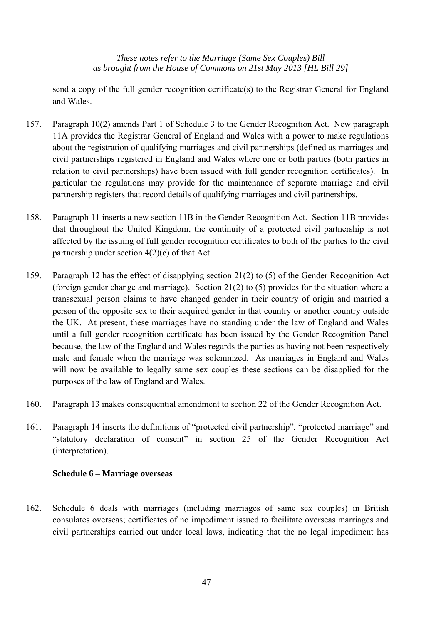send a copy of the full gender recognition certificate(s) to the Registrar General for England and Wales.

- 157. Paragraph 10(2) amends Part 1 of Schedule 3 to the Gender Recognition Act. New paragraph 11A provides the Registrar General of England and Wales with a power to make regulations about the registration of qualifying marriages and civil partnerships (defined as marriages and civil partnerships registered in England and Wales where one or both parties (both parties in relation to civil partnerships) have been issued with full gender recognition certificates). In particular the regulations may provide for the maintenance of separate marriage and civil partnership registers that record details of qualifying marriages and civil partnerships.
- 158. Paragraph 11 inserts a new section 11B in the Gender Recognition Act. Section 11B provides that throughout the United Kingdom, the continuity of a protected civil partnership is not affected by the issuing of full gender recognition certificates to both of the parties to the civil partnership under section 4(2)(c) of that Act.
- 159. Paragraph 12 has the effect of disapplying section 21(2) to (5) of the Gender Recognition Act (foreign gender change and marriage). Section 21(2) to (5) provides for the situation where a transsexual person claims to have changed gender in their country of origin and married a person of the opposite sex to their acquired gender in that country or another country outside the UK. At present, these marriages have no standing under the law of England and Wales until a full gender recognition certificate has been issued by the Gender Recognition Panel because, the law of the England and Wales regards the parties as having not been respectively male and female when the marriage was solemnized. As marriages in England and Wales will now be available to legally same sex couples these sections can be disapplied for the purposes of the law of England and Wales.
- 160. Paragraph 13 makes consequential amendment to section 22 of the Gender Recognition Act.
- 161. Paragraph 14 inserts the definitions of "protected civil partnership", "protected marriage" and "statutory declaration of consent" in section 25 of the Gender Recognition Act (interpretation).

#### **Schedule 6 – Marriage overseas**

162. Schedule 6 deals with marriages (including marriages of same sex couples) in British consulates overseas; certificates of no impediment issued to facilitate overseas marriages and civil partnerships carried out under local laws, indicating that the no legal impediment has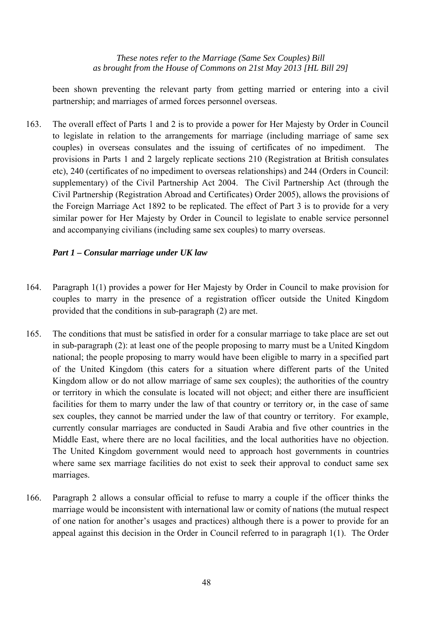been shown preventing the relevant party from getting married or entering into a civil partnership; and marriages of armed forces personnel overseas.

163. The overall effect of Parts 1 and 2 is to provide a power for Her Majesty by Order in Council to legislate in relation to the arrangements for marriage (including marriage of same sex couples) in overseas consulates and the issuing of certificates of no impediment. The provisions in Parts 1 and 2 largely replicate sections 210 (Registration at British consulates etc), 240 (certificates of no impediment to overseas relationships) and 244 (Orders in Council: supplementary) of the Civil Partnership Act 2004. The Civil Partnership Act (through the Civil Partnership (Registration Abroad and Certificates) Order 2005), allows the provisions of the Foreign Marriage Act 1892 to be replicated. The effect of Part 3 is to provide for a very similar power for Her Majesty by Order in Council to legislate to enable service personnel and accompanying civilians (including same sex couples) to marry overseas.

#### *Part 1 – Consular marriage under UK law*

- 164. Paragraph 1(1) provides a power for Her Majesty by Order in Council to make provision for couples to marry in the presence of a registration officer outside the United Kingdom provided that the conditions in sub-paragraph (2) are met.
- 165. The conditions that must be satisfied in order for a consular marriage to take place are set out in sub-paragraph (2): at least one of the people proposing to marry must be a United Kingdom national; the people proposing to marry would have been eligible to marry in a specified part of the United Kingdom (this caters for a situation where different parts of the United Kingdom allow or do not allow marriage of same sex couples); the authorities of the country or territory in which the consulate is located will not object; and either there are insufficient facilities for them to marry under the law of that country or territory or, in the case of same sex couples, they cannot be married under the law of that country or territory. For example, currently consular marriages are conducted in Saudi Arabia and five other countries in the Middle East, where there are no local facilities, and the local authorities have no objection. The United Kingdom government would need to approach host governments in countries where same sex marriage facilities do not exist to seek their approval to conduct same sex marriages.
- 166. Paragraph 2 allows a consular official to refuse to marry a couple if the officer thinks the marriage would be inconsistent with international law or comity of nations (the mutual respect of one nation for another's usages and practices) although there is a power to provide for an appeal against this decision in the Order in Council referred to in paragraph 1(1). The Order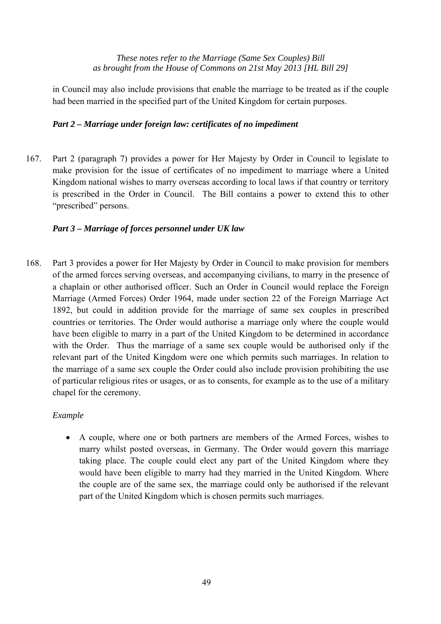in Council may also include provisions that enable the marriage to be treated as if the couple had been married in the specified part of the United Kingdom for certain purposes.

## *Part 2 – Marriage under foreign law: certificates of no impediment*

167. Part 2 (paragraph 7) provides a power for Her Majesty by Order in Council to legislate to make provision for the issue of certificates of no impediment to marriage where a United Kingdom national wishes to marry overseas according to local laws if that country or territory is prescribed in the Order in Council. The Bill contains a power to extend this to other "prescribed" persons.

## *Part 3 – Marriage of forces personnel under UK law*

168. Part 3 provides a power for Her Majesty by Order in Council to make provision for members of the armed forces serving overseas, and accompanying civilians, to marry in the presence of a chaplain or other authorised officer. Such an Order in Council would replace the Foreign Marriage (Armed Forces) Order 1964, made under section 22 of the Foreign Marriage Act 1892, but could in addition provide for the marriage of same sex couples in prescribed countries or territories. The Order would authorise a marriage only where the couple would have been eligible to marry in a part of the United Kingdom to be determined in accordance with the Order. Thus the marriage of a same sex couple would be authorised only if the relevant part of the United Kingdom were one which permits such marriages. In relation to the marriage of a same sex couple the Order could also include provision prohibiting the use of particular religious rites or usages, or as to consents, for example as to the use of a military chapel for the ceremony.

#### *Example*

• A couple, where one or both partners are members of the Armed Forces, wishes to marry whilst posted overseas, in Germany. The Order would govern this marriage taking place. The couple could elect any part of the United Kingdom where they would have been eligible to marry had they married in the United Kingdom. Where the couple are of the same sex, the marriage could only be authorised if the relevant part of the United Kingdom which is chosen permits such marriages.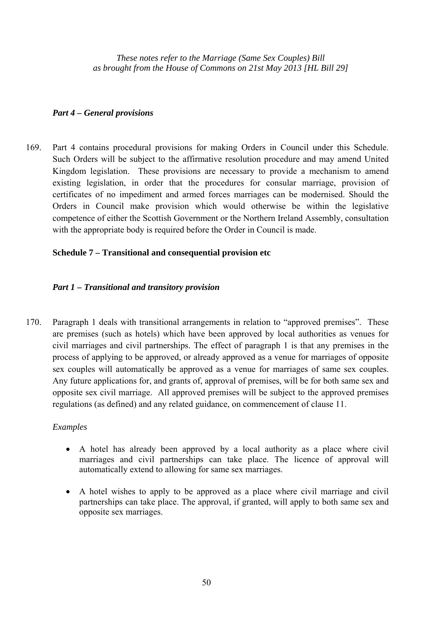#### *Part 4 – General provisions*

169. Part 4 contains procedural provisions for making Orders in Council under this Schedule. Such Orders will be subject to the affirmative resolution procedure and may amend United Kingdom legislation. These provisions are necessary to provide a mechanism to amend existing legislation, in order that the procedures for consular marriage, provision of certificates of no impediment and armed forces marriages can be modernised. Should the Orders in Council make provision which would otherwise be within the legislative competence of either the Scottish Government or the Northern Ireland Assembly, consultation with the appropriate body is required before the Order in Council is made.

## **Schedule 7 – Transitional and consequential provision etc**

## *Part 1 – Transitional and transitory provision*

170. Paragraph 1 deals with transitional arrangements in relation to "approved premises". These are premises (such as hotels) which have been approved by local authorities as venues for civil marriages and civil partnerships. The effect of paragraph 1 is that any premises in the process of applying to be approved, or already approved as a venue for marriages of opposite sex couples will automatically be approved as a venue for marriages of same sex couples. Any future applications for, and grants of, approval of premises, will be for both same sex and opposite sex civil marriage. All approved premises will be subject to the approved premises regulations (as defined) and any related guidance, on commencement of clause 11.

#### *Examples*

- A hotel has already been approved by a local authority as a place where civil marriages and civil partnerships can take place. The licence of approval will automatically extend to allowing for same sex marriages.
- A hotel wishes to apply to be approved as a place where civil marriage and civil partnerships can take place. The approval, if granted, will apply to both same sex and opposite sex marriages.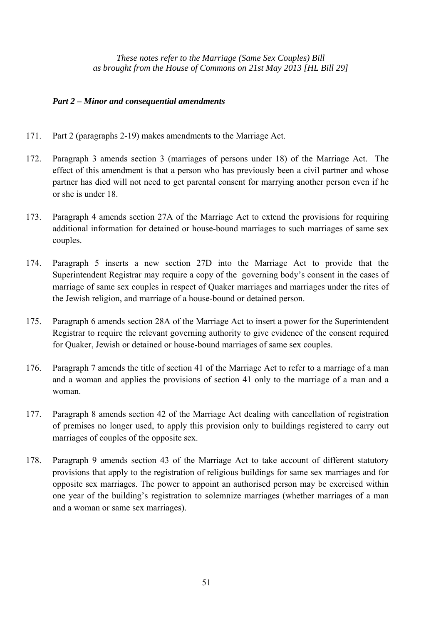#### *Part 2 – Minor and consequential amendments*

- 171. Part 2 (paragraphs 2-19) makes amendments to the Marriage Act.
- 172. Paragraph 3 amends section 3 (marriages of persons under 18) of the Marriage Act. The effect of this amendment is that a person who has previously been a civil partner and whose partner has died will not need to get parental consent for marrying another person even if he or she is under 18.
- 173. Paragraph 4 amends section 27A of the Marriage Act to extend the provisions for requiring additional information for detained or house-bound marriages to such marriages of same sex couples.
- 174. Paragraph 5 inserts a new section 27D into the Marriage Act to provide that the Superintendent Registrar may require a copy of the governing body's consent in the cases of marriage of same sex couples in respect of Quaker marriages and marriages under the rites of the Jewish religion, and marriage of a house-bound or detained person.
- 175. Paragraph 6 amends section 28A of the Marriage Act to insert a power for the Superintendent Registrar to require the relevant governing authority to give evidence of the consent required for Quaker, Jewish or detained or house-bound marriages of same sex couples.
- 176. Paragraph 7 amends the title of section 41 of the Marriage Act to refer to a marriage of a man and a woman and applies the provisions of section 41 only to the marriage of a man and a woman.
- 177. Paragraph 8 amends section 42 of the Marriage Act dealing with cancellation of registration of premises no longer used, to apply this provision only to buildings registered to carry out marriages of couples of the opposite sex.
- 178. Paragraph 9 amends section 43 of the Marriage Act to take account of different statutory provisions that apply to the registration of religious buildings for same sex marriages and for opposite sex marriages. The power to appoint an authorised person may be exercised within one year of the building's registration to solemnize marriages (whether marriages of a man and a woman or same sex marriages).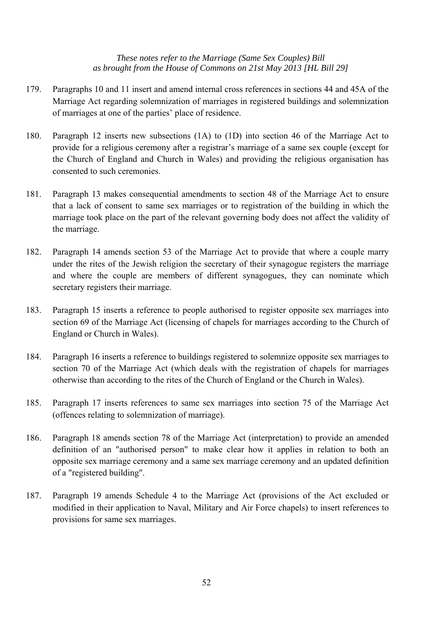- 179. Paragraphs 10 and 11 insert and amend internal cross references in sections 44 and 45A of the Marriage Act regarding solemnization of marriages in registered buildings and solemnization of marriages at one of the parties' place of residence.
- 180. Paragraph 12 inserts new subsections (1A) to (1D) into section 46 of the Marriage Act to provide for a religious ceremony after a registrar's marriage of a same sex couple (except for the Church of England and Church in Wales) and providing the religious organisation has consented to such ceremonies.
- 181. Paragraph 13 makes consequential amendments to section 48 of the Marriage Act to ensure that a lack of consent to same sex marriages or to registration of the building in which the marriage took place on the part of the relevant governing body does not affect the validity of the marriage.
- 182. Paragraph 14 amends section 53 of the Marriage Act to provide that where a couple marry under the rites of the Jewish religion the secretary of their synagogue registers the marriage and where the couple are members of different synagogues, they can nominate which secretary registers their marriage.
- 183. Paragraph 15 inserts a reference to people authorised to register opposite sex marriages into section 69 of the Marriage Act (licensing of chapels for marriages according to the Church of England or Church in Wales).
- 184. Paragraph 16 inserts a reference to buildings registered to solemnize opposite sex marriages to section 70 of the Marriage Act (which deals with the registration of chapels for marriages otherwise than according to the rites of the Church of England or the Church in Wales).
- 185. Paragraph 17 inserts references to same sex marriages into section 75 of the Marriage Act (offences relating to solemnization of marriage).
- 186. Paragraph 18 amends section 78 of the Marriage Act (interpretation) to provide an amended definition of an "authorised person" to make clear how it applies in relation to both an opposite sex marriage ceremony and a same sex marriage ceremony and an updated definition of a "registered building".
- 187. Paragraph 19 amends Schedule 4 to the Marriage Act (provisions of the Act excluded or modified in their application to Naval, Military and Air Force chapels) to insert references to provisions for same sex marriages.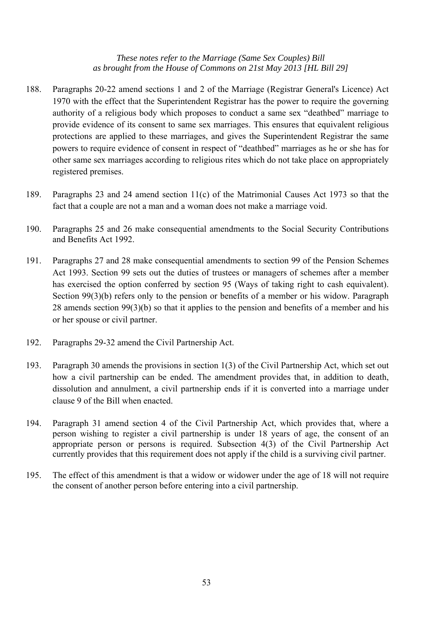- 188. Paragraphs 20-22 amend sections 1 and 2 of the Marriage (Registrar General's Licence) Act 1970 with the effect that the Superintendent Registrar has the power to require the governing authority of a religious body which proposes to conduct a same sex "deathbed" marriage to provide evidence of its consent to same sex marriages. This ensures that equivalent religious protections are applied to these marriages, and gives the Superintendent Registrar the same powers to require evidence of consent in respect of "deathbed" marriages as he or she has for other same sex marriages according to religious rites which do not take place on appropriately registered premises.
- 189. Paragraphs 23 and 24 amend section 11(c) of the Matrimonial Causes Act 1973 so that the fact that a couple are not a man and a woman does not make a marriage void.
- 190. Paragraphs 25 and 26 make consequential amendments to the Social Security Contributions and Benefits Act 1992.
- 191. Paragraphs 27 and 28 make consequential amendments to section 99 of the Pension Schemes Act 1993. Section 99 sets out the duties of trustees or managers of schemes after a member has exercised the option conferred by section 95 (Ways of taking right to cash equivalent). Section 99(3)(b) refers only to the pension or benefits of a member or his widow. Paragraph 28 amends section 99(3)(b) so that it applies to the pension and benefits of a member and his or her spouse or civil partner.
- 192. Paragraphs 29-32 amend the Civil Partnership Act.
- 193. Paragraph 30 amends the provisions in section 1(3) of the Civil Partnership Act, which set out how a civil partnership can be ended. The amendment provides that, in addition to death, dissolution and annulment, a civil partnership ends if it is converted into a marriage under clause 9 of the Bill when enacted.
- 194. Paragraph 31 amend section 4 of the Civil Partnership Act, which provides that, where a person wishing to register a civil partnership is under 18 years of age, the consent of an appropriate person or persons is required. Subsection 4(3) of the Civil Partnership Act currently provides that this requirement does not apply if the child is a surviving civil partner.
- 195. The effect of this amendment is that a widow or widower under the age of 18 will not require the consent of another person before entering into a civil partnership.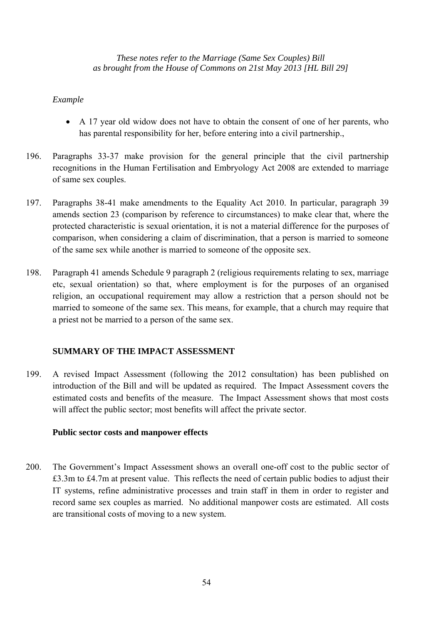#### *Example*

- A 17 year old widow does not have to obtain the consent of one of her parents, who has parental responsibility for her, before entering into a civil partnership.,
- 196. Paragraphs 33-37 make provision for the general principle that the civil partnership recognitions in the Human Fertilisation and Embryology Act 2008 are extended to marriage of same sex couples.
- 197. Paragraphs 38-41 make amendments to the Equality Act 2010. In particular, paragraph 39 amends section 23 (comparison by reference to circumstances) to make clear that, where the protected characteristic is sexual orientation, it is not a material difference for the purposes of comparison, when considering a claim of discrimination, that a person is married to someone of the same sex while another is married to someone of the opposite sex.
- 198. Paragraph 41 amends Schedule 9 paragraph 2 (religious requirements relating to sex, marriage etc, sexual orientation) so that, where employment is for the purposes of an organised religion, an occupational requirement may allow a restriction that a person should not be married to someone of the same sex. This means, for example, that a church may require that a priest not be married to a person of the same sex.

#### **SUMMARY OF THE IMPACT ASSESSMENT**

199. A revised Impact Assessment (following the 2012 consultation) has been published on introduction of the Bill and will be updated as required. The Impact Assessment covers the estimated costs and benefits of the measure. The Impact Assessment shows that most costs will affect the public sector; most benefits will affect the private sector.

#### **Public sector costs and manpower effects**

200. The Government's Impact Assessment shows an overall one-off cost to the public sector of £3.3m to £4.7m at present value. This reflects the need of certain public bodies to adjust their IT systems, refine administrative processes and train staff in them in order to register and record same sex couples as married. No additional manpower costs are estimated. All costs are transitional costs of moving to a new system.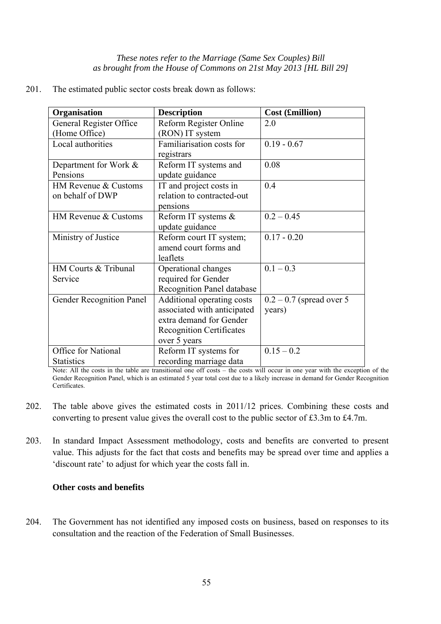201. The estimated public sector costs break down as follows:

| Organisation                             | <b>Description</b>                                                                                                                      | Cost (£million)                       |
|------------------------------------------|-----------------------------------------------------------------------------------------------------------------------------------------|---------------------------------------|
| General Register Office                  | Reform Register Online                                                                                                                  | 2.0                                   |
| (Home Office)                            | (RON) IT system                                                                                                                         |                                       |
| Local authorities                        | Familiarisation costs for<br>registrars                                                                                                 | $0.19 - 0.67$                         |
| Department for Work &<br>Pensions        | Reform IT systems and<br>update guidance                                                                                                | 0.08                                  |
| HM Revenue & Customs<br>on behalf of DWP | IT and project costs in<br>relation to contracted-out<br>pensions                                                                       | 0.4                                   |
| HM Revenue & Customs                     | Reform IT systems &<br>update guidance                                                                                                  | $0.2 - 0.45$                          |
| Ministry of Justice                      | Reform court IT system;<br>amend court forms and<br>leaflets                                                                            | $0.17 - 0.20$                         |
| HM Courts & Tribunal<br>Service          | Operational changes<br>required for Gender<br><b>Recognition Panel database</b>                                                         | $0.1 - 0.3$                           |
| Gender Recognition Panel                 | Additional operating costs<br>associated with anticipated<br>extra demand for Gender<br><b>Recognition Certificates</b><br>over 5 years | $0.2 - 0.7$ (spread over 5)<br>years) |
| Office for National<br><b>Statistics</b> | Reform IT systems for<br>recording marriage data                                                                                        | $0.15 - 0.2$                          |

Note: All the costs in the table are transitional one off costs – the costs will occur in one year with the exception of the Gender Recognition Panel, which is an estimated 5 year total cost due to a likely increase in demand for Gender Recognition Certificates.

- 202. The table above gives the estimated costs in 2011/12 prices. Combining these costs and converting to present value gives the overall cost to the public sector of £3.3m to £4.7m.
- 203. In standard Impact Assessment methodology, costs and benefits are converted to present value. This adjusts for the fact that costs and benefits may be spread over time and applies a 'discount rate' to adjust for which year the costs fall in.

#### **Other costs and benefits**

204. The Government has not identified any imposed costs on business, based on responses to its consultation and the reaction of the Federation of Small Businesses.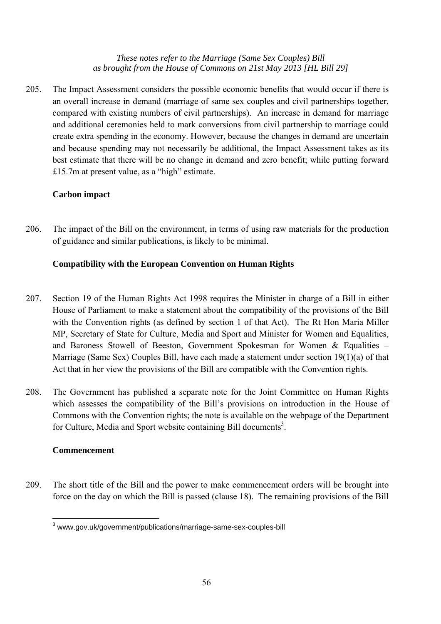205. The Impact Assessment considers the possible economic benefits that would occur if there is an overall increase in demand (marriage of same sex couples and civil partnerships together, compared with existing numbers of civil partnerships). An increase in demand for marriage and additional ceremonies held to mark conversions from civil partnership to marriage could create extra spending in the economy. However, because the changes in demand are uncertain and because spending may not necessarily be additional, the Impact Assessment takes as its best estimate that there will be no change in demand and zero benefit; while putting forward £15.7m at present value, as a "high" estimate.

## **Carbon impact**

206. The impact of the Bill on the environment, in terms of using raw materials for the production of guidance and similar publications, is likely to be minimal.

## **Compatibility with the European Convention on Human Rights**

- 207. Section 19 of the Human Rights Act 1998 requires the Minister in charge of a Bill in either House of Parliament to make a statement about the compatibility of the provisions of the Bill with the Convention rights (as defined by section 1 of that Act). The Rt Hon Maria Miller MP, Secretary of State for Culture, Media and Sport and Minister for Women and Equalities, and Baroness Stowell of Beeston, Government Spokesman for Women & Equalities – Marriage (Same Sex) Couples Bill, have each made a statement under section 19(1)(a) of that Act that in her view the provisions of the Bill are compatible with the Convention rights.
- 208. The Government has published a separate note for the Joint Committee on Human Rights which assesses the compatibility of the Bill's provisions on introduction in the House of Commons with the Convention rights; the note is available on the webpage of the Department for Culture, Media and Sport website containing Bill documents<sup>3</sup>.

#### **Commencement**

209. The short title of the Bill and the power to make commencement orders will be brought into force on the day on which the Bill is passed (clause 18). The remaining provisions of the Bill

 3 www.gov.uk/government/publications/marriage-same-sex-couples-bill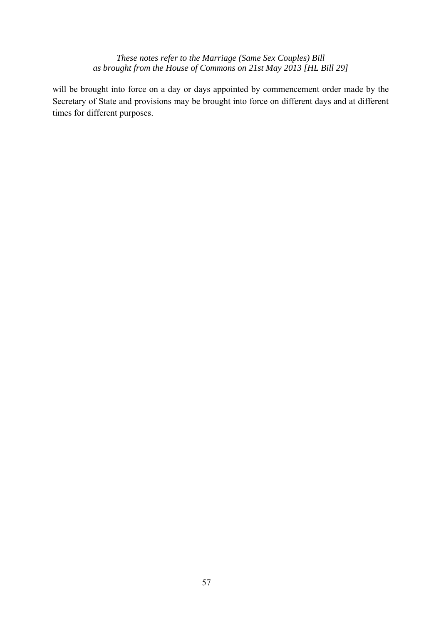will be brought into force on a day or days appointed by commencement order made by the Secretary of State and provisions may be brought into force on different days and at different times for different purposes.